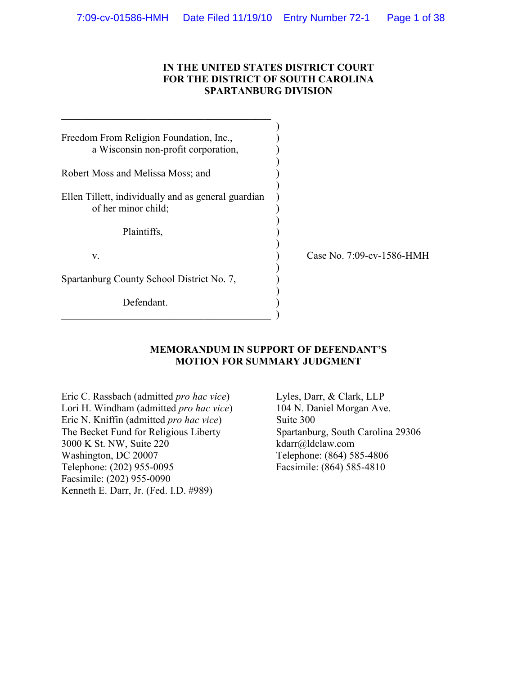## **IN THE UNITED STATES DISTRICT COURT FOR THE DISTRICT OF SOUTH CAROLINA SPARTANBURG DIVISION**

| Freedom From Religion Foundation, Inc.,<br>a Wisconsin non-profit corporation, |  |
|--------------------------------------------------------------------------------|--|
| Robert Moss and Melissa Moss; and                                              |  |
| Ellen Tillett, individually and as general guardian<br>of her minor child;     |  |
| Plaintiffs,                                                                    |  |
| V.                                                                             |  |
| Spartanburg County School District No. 7,                                      |  |
| Defendant.                                                                     |  |

 $\qquad \qquad \qquad .$ 

 $\_$  . The contribution of the contribution of  $\mathcal{L}_\mathcal{L}$ 

Case No. 7:09-cv-1586-HMH

### **MEMORANDUM IN SUPPORT OF DEFENDANT'S MOTION FOR SUMMARY JUDGMENT**

Eric C. Rassbach (admitted *pro hac vice*) Lori H. Windham (admitted *pro hac vice*) Eric N. Kniffin (admitted *pro hac vice*) The Becket Fund for Religious Liberty 3000 K St. NW, Suite 220 Washington, DC 20007 Telephone: (202) 955-0095 Facsimile: (202) 955-0090 Kenneth E. Darr, Jr. (Fed. I.D. #989)

Lyles, Darr, & Clark, LLP 104 N. Daniel Morgan Ave. Suite 300 Spartanburg, South Carolina 29306 kdarr@ldclaw.com Telephone: (864) 585-4806 Facsimile: (864) 585-4810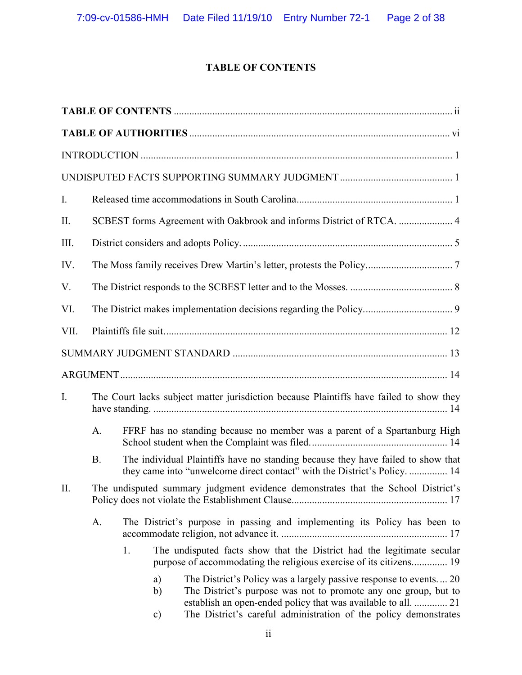# **TABLE OF CONTENTS**

| SCBEST forms Agreement with Oakbrook and informs District of RTCA.  4           |                                 |                                                                                                                                                                                                                                                                                                                                                                                                                                                                                                                                                                           |  |  |
|---------------------------------------------------------------------------------|---------------------------------|---------------------------------------------------------------------------------------------------------------------------------------------------------------------------------------------------------------------------------------------------------------------------------------------------------------------------------------------------------------------------------------------------------------------------------------------------------------------------------------------------------------------------------------------------------------------------|--|--|
|                                                                                 |                                 |                                                                                                                                                                                                                                                                                                                                                                                                                                                                                                                                                                           |  |  |
|                                                                                 |                                 |                                                                                                                                                                                                                                                                                                                                                                                                                                                                                                                                                                           |  |  |
|                                                                                 |                                 |                                                                                                                                                                                                                                                                                                                                                                                                                                                                                                                                                                           |  |  |
|                                                                                 |                                 |                                                                                                                                                                                                                                                                                                                                                                                                                                                                                                                                                                           |  |  |
|                                                                                 |                                 |                                                                                                                                                                                                                                                                                                                                                                                                                                                                                                                                                                           |  |  |
|                                                                                 |                                 |                                                                                                                                                                                                                                                                                                                                                                                                                                                                                                                                                                           |  |  |
|                                                                                 |                                 |                                                                                                                                                                                                                                                                                                                                                                                                                                                                                                                                                                           |  |  |
|                                                                                 |                                 |                                                                                                                                                                                                                                                                                                                                                                                                                                                                                                                                                                           |  |  |
| A.                                                                              |                                 |                                                                                                                                                                                                                                                                                                                                                                                                                                                                                                                                                                           |  |  |
| <b>B.</b>                                                                       |                                 |                                                                                                                                                                                                                                                                                                                                                                                                                                                                                                                                                                           |  |  |
|                                                                                 |                                 |                                                                                                                                                                                                                                                                                                                                                                                                                                                                                                                                                                           |  |  |
| The District's purpose in passing and implementing its Policy has been to<br>A. |                                 |                                                                                                                                                                                                                                                                                                                                                                                                                                                                                                                                                                           |  |  |
|                                                                                 | 1.<br>a)<br>b)<br>$\mathbf{c})$ | The District's Policy was a largely passive response to events 20<br>The District's purpose was not to promote any one group, but to<br>establish an open-ended policy that was available to all.  21<br>The District's careful administration of the policy demonstrates                                                                                                                                                                                                                                                                                                 |  |  |
|                                                                                 |                                 | The Court lacks subject matter jurisdiction because Plaintiffs have failed to show they<br>FFRF has no standing because no member was a parent of a Spartanburg High<br>The individual Plaintiffs have no standing because they have failed to show that<br>they came into "unwelcome direct contact" with the District's Policy.  14<br>The undisputed summary judgment evidence demonstrates that the School District's<br>The undisputed facts show that the District had the legitimate secular<br>purpose of accommodating the religious exercise of its citizens 19 |  |  |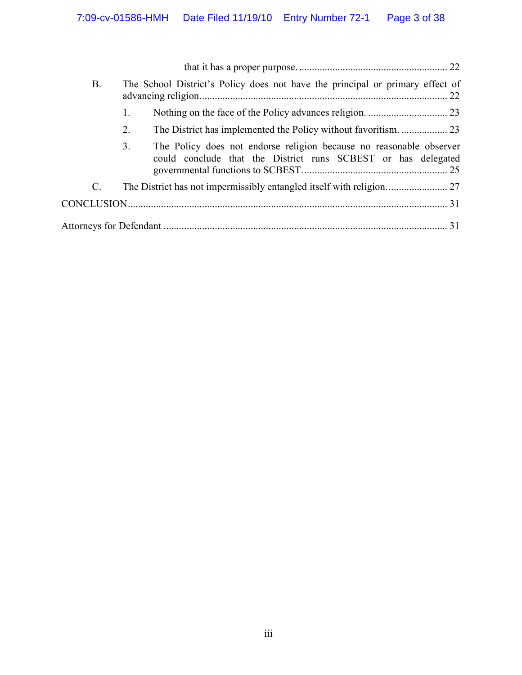| <b>B.</b> |    | The School District's Policy does not have the principal or primary effect of                                                        |  |
|-----------|----|--------------------------------------------------------------------------------------------------------------------------------------|--|
|           | 1. |                                                                                                                                      |  |
|           | 2. |                                                                                                                                      |  |
|           | 3. | The Policy does not endorse religion because no reasonable observer<br>could conclude that the District runs SCBEST or has delegated |  |
| C.        |    |                                                                                                                                      |  |
|           |    |                                                                                                                                      |  |
|           |    |                                                                                                                                      |  |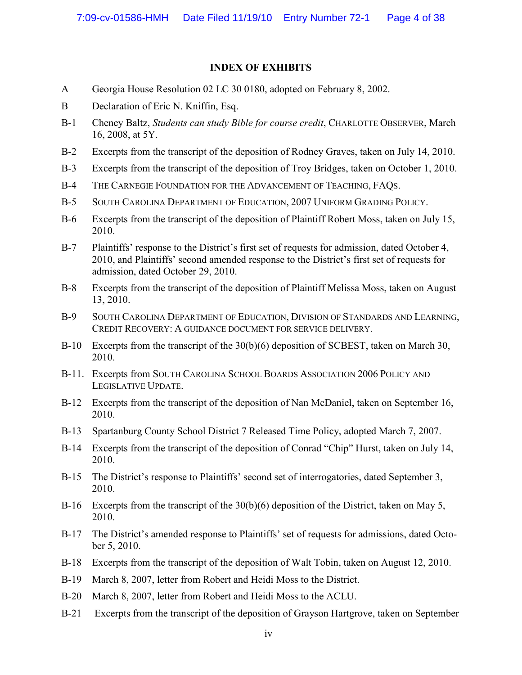## **INDEX OF EXHIBITS**

- A Georgia House Resolution 02 LC 30 0180, adopted on February 8, 2002.
- B Declaration of Eric N. Kniffin, Esq.
- B-1 Cheney Baltz, *Students can study Bible for course credit*, CHARLOTTE OBSERVER, March 16, 2008, at 5Y.
- B-2 Excerpts from the transcript of the deposition of Rodney Graves, taken on July 14, 2010.
- B-3 Excerpts from the transcript of the deposition of Troy Bridges, taken on October 1, 2010.
- B-4 THE CARNEGIE FOUNDATION FOR THE ADVANCEMENT OF TEACHING, FAQS.
- B-5 SOUTH CAROLINA DEPARTMENT OF EDUCATION, 2007 UNIFORM GRADING POLICY.
- B-6 Excerpts from the transcript of the deposition of Plaintiff Robert Moss, taken on July 15, 2010.
- B-7 Plaintiffs' response to the District's first set of requests for admission, dated October 4, 2010, and Plaintiffs' second amended response to the District's first set of requests for admission, dated October 29, 2010.
- B-8 Excerpts from the transcript of the deposition of Plaintiff Melissa Moss, taken on August 13, 2010.
- B-9 SOUTH CAROLINA DEPARTMENT OF EDUCATION, DIVISION OF STANDARDS AND LEARNING, CREDIT RECOVERY: A GUIDANCE DOCUMENT FOR SERVICE DELIVERY.
- B-10 Excerpts from the transcript of the 30(b)(6) deposition of SCBEST, taken on March 30, 2010.
- B-11. Excerpts from SOUTH CAROLINA SCHOOL BOARDS ASSOCIATION 2006 POLICY AND LEGISLATIVE UPDATE.
- B-12 Excerpts from the transcript of the deposition of Nan McDaniel, taken on September 16, 2010.
- B-13 Spartanburg County School District 7 Released Time Policy, adopted March 7, 2007.
- B-14 Excerpts from the transcript of the deposition of Conrad "Chip" Hurst, taken on July 14, 2010.
- B-15 The District's response to Plaintiffs' second set of interrogatories, dated September 3, 2010.
- B-16 Excerpts from the transcript of the 30(b)(6) deposition of the District, taken on May 5, 2010.
- B-17 The District's amended response to Plaintiffs' set of requests for admissions, dated October 5, 2010.
- B-18 Excerpts from the transcript of the deposition of Walt Tobin, taken on August 12, 2010.
- B-19 March 8, 2007, letter from Robert and Heidi Moss to the District.
- B-20 March 8, 2007, letter from Robert and Heidi Moss to the ACLU.
- B-21 Excerpts from the transcript of the deposition of Grayson Hartgrove, taken on September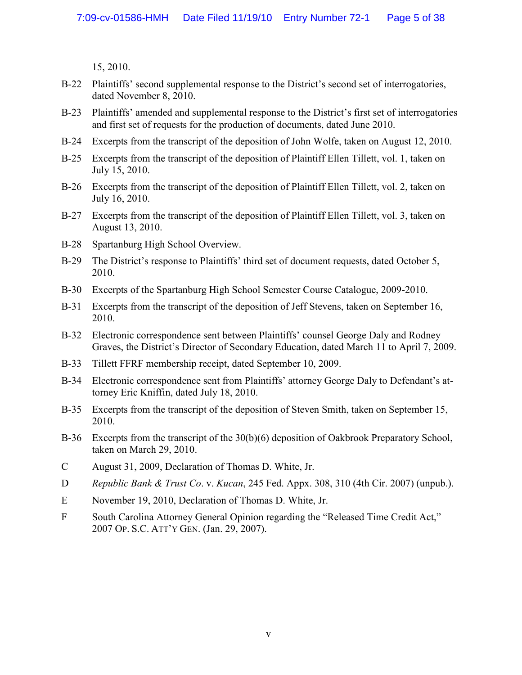15, 2010.

- B-22 Plaintiffs' second supplemental response to the District's second set of interrogatories, dated November 8, 2010.
- B-23 Plaintiffs' amended and supplemental response to the District's first set of interrogatories and first set of requests for the production of documents, dated June 2010.
- B-24 Excerpts from the transcript of the deposition of John Wolfe, taken on August 12, 2010.
- B-25 Excerpts from the transcript of the deposition of Plaintiff Ellen Tillett, vol. 1, taken on July 15, 2010.
- B-26 Excerpts from the transcript of the deposition of Plaintiff Ellen Tillett, vol. 2, taken on July 16, 2010.
- B-27 Excerpts from the transcript of the deposition of Plaintiff Ellen Tillett, vol. 3, taken on August 13, 2010.
- B-28 Spartanburg High School Overview.
- B-29 The District's response to Plaintiffs' third set of document requests, dated October 5, 2010.
- B-30 Excerpts of the Spartanburg High School Semester Course Catalogue, 2009-2010.
- B-31 Excerpts from the transcript of the deposition of Jeff Stevens, taken on September 16, 2010.
- B-32 Electronic correspondence sent between Plaintiffs' counsel George Daly and Rodney Graves, the District's Director of Secondary Education, dated March 11 to April 7, 2009.
- B-33 Tillett FFRF membership receipt, dated September 10, 2009.
- B-34 Electronic correspondence sent from Plaintiffs' attorney George Daly to Defendant's attorney Eric Kniffin, dated July 18, 2010.
- B-35 Excerpts from the transcript of the deposition of Steven Smith, taken on September 15, 2010.
- B-36 Excerpts from the transcript of the 30(b)(6) deposition of Oakbrook Preparatory School, taken on March 29, 2010.
- C August 31, 2009, Declaration of Thomas D. White, Jr.
- D *Republic Bank & Trust Co*. v. *Kucan*, 245 Fed. Appx. 308, 310 (4th Cir. 2007) (unpub.).
- E November 19, 2010, Declaration of Thomas D. White, Jr.
- F South Carolina Attorney General Opinion regarding the "Released Time Credit Act," 2007 OP. S.C. ATT'Y GEN. (Jan. 29, 2007).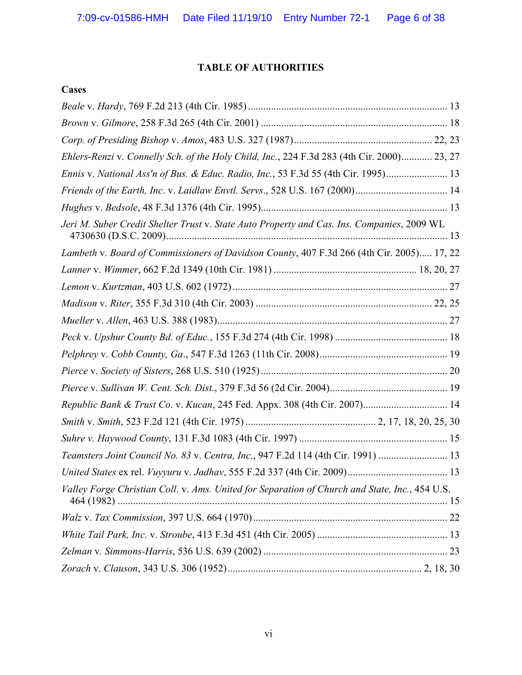# **TABLE OF AUTHORITIES**

# **Cases**

| Ehlers-Renzi v. Connelly Sch. of the Holy Child, Inc., 224 F.3d 283 (4th Cir. 2000) 23, 27     |  |
|------------------------------------------------------------------------------------------------|--|
| Ennis v. National Ass'n of Bus. & Educ. Radio, Inc., 53 F.3d 55 (4th Cir. 1995) 13             |  |
|                                                                                                |  |
|                                                                                                |  |
| Jeri M. Suber Credit Shelter Trust v. State Auto Property and Cas. Ins. Companies, 2009 WL     |  |
| Lambeth v. Board of Commissioners of Davidson County, 407 F.3d 266 (4th Cir. 2005) 17, 22      |  |
|                                                                                                |  |
|                                                                                                |  |
|                                                                                                |  |
|                                                                                                |  |
|                                                                                                |  |
|                                                                                                |  |
|                                                                                                |  |
|                                                                                                |  |
| Republic Bank & Trust Co. v. Kucan, 245 Fed. Appx. 308 (4th Cir. 2007) 14                      |  |
|                                                                                                |  |
|                                                                                                |  |
| Teamsters Joint Council No. 83 v. Centra, Inc., 947 F.2d 114 (4th Cir. 1991)  13               |  |
|                                                                                                |  |
| Valley Forge Christian Coll. v. Ams. United for Separation of Church and State, Inc., 454 U.S. |  |
|                                                                                                |  |
|                                                                                                |  |
|                                                                                                |  |
|                                                                                                |  |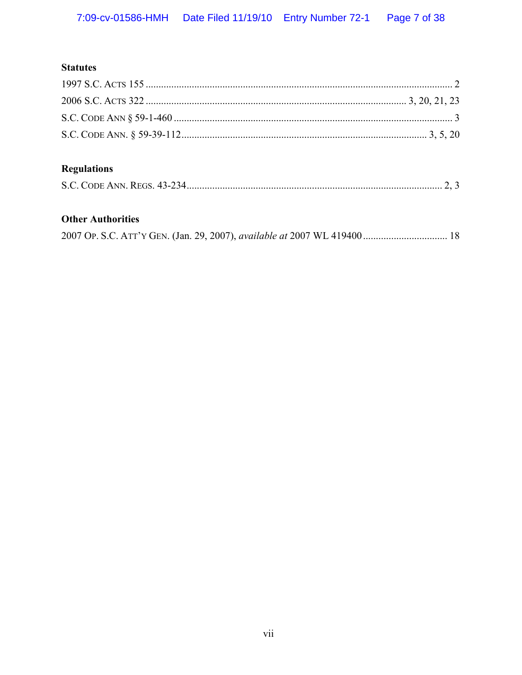# **Statutes**

# **Regulations**

# **Other Authorities**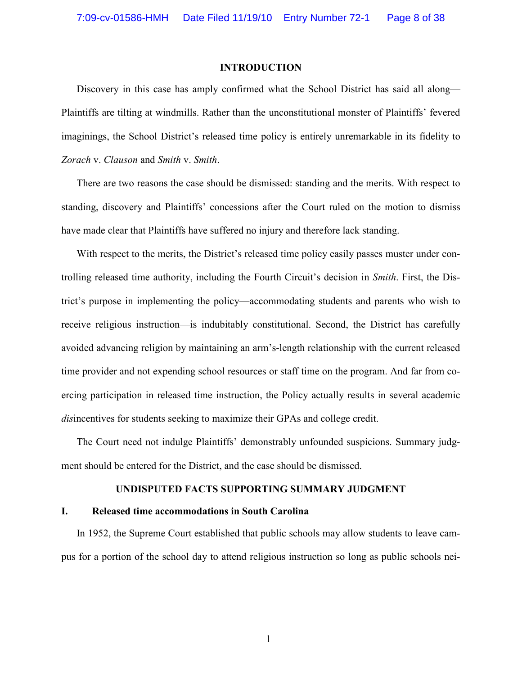### **INTRODUCTION**

Discovery in this case has amply confirmed what the School District has said all along— Plaintiffs are tilting at windmills. Rather than the unconstitutional monster of Plaintiffs' fevered imaginings, the School District's released time policy is entirely unremarkable in its fidelity to *Zorach* v. *Clauson* and *Smith* v. *Smith*.

There are two reasons the case should be dismissed: standing and the merits. With respect to standing, discovery and Plaintiffs' concessions after the Court ruled on the motion to dismiss have made clear that Plaintiffs have suffered no injury and therefore lack standing.

With respect to the merits, the District's released time policy easily passes muster under controlling released time authority, including the Fourth Circuit's decision in *Smith*. First, the District's purpose in implementing the policy—accommodating students and parents who wish to receive religious instruction—is indubitably constitutional. Second, the District has carefully avoided advancing religion by maintaining an arm's-length relationship with the current released time provider and not expending school resources or staff time on the program. And far from coercing participation in released time instruction, the Policy actually results in several academic *dis*incentives for students seeking to maximize their GPAs and college credit.

The Court need not indulge Plaintiffs' demonstrably unfounded suspicions. Summary judgment should be entered for the District, and the case should be dismissed.

### **UNDISPUTED FACTS SUPPORTING SUMMARY JUDGMENT**

## **I. Released time accommodations in South Carolina**

In 1952, the Supreme Court established that public schools may allow students to leave campus for a portion of the school day to attend religious instruction so long as public schools nei-

1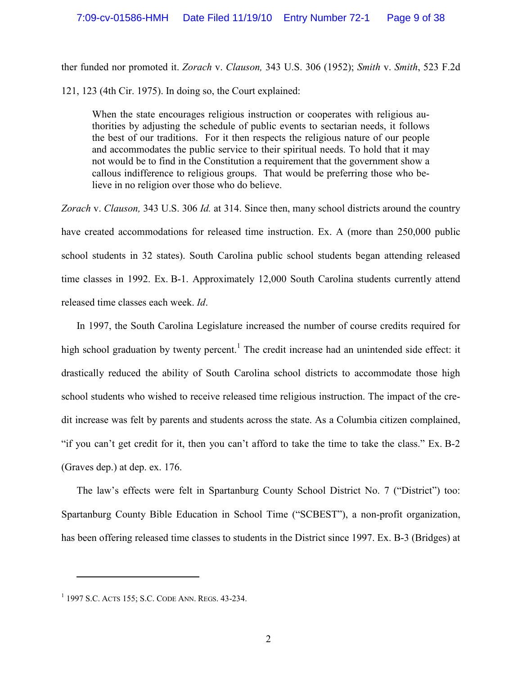ther funded nor promoted it. *Zorach* v. *Clauson,* 343 U.S. 306 (1952); *Smith* v. *Smith*, 523 F.2d 121, 123 (4th Cir. 1975). In doing so, the Court explained:

When the state encourages religious instruction or cooperates with religious authorities by adjusting the schedule of public events to sectarian needs, it follows the best of our traditions. For it then respects the religious nature of our people and accommodates the public service to their spiritual needs. To hold that it may not would be to find in the Constitution a requirement that the government show a callous indifference to religious groups. That would be preferring those who believe in no religion over those who do believe.

*Zorach* v. *Clauson,* 343 U.S. 306 *Id.* at 314. Since then, many school districts around the country have created accommodations for released time instruction. Ex. A (more than 250,000 public school students in 32 states). South Carolina public school students began attending released time classes in 1992. Ex. B-1. Approximately 12,000 South Carolina students currently attend released time classes each week. *Id*.

In 1997, the South Carolina Legislature increased the number of course credits required for high school graduation by twenty percent.<sup>1</sup> The credit increase had an unintended side effect: it drastically reduced the ability of South Carolina school districts to accommodate those high school students who wished to receive released time religious instruction. The impact of the credit increase was felt by parents and students across the state. As a Columbia citizen complained, "if you can't get credit for it, then you can't afford to take the time to take the class." Ex. B-2 (Graves dep.) at dep. ex. 176.

The law's effects were felt in Spartanburg County School District No. 7 ("District") too: Spartanburg County Bible Education in School Time ("SCBEST"), a non-profit organization, has been offering released time classes to students in the District since 1997. Ex. B-3 (Bridges) at

<sup>1</sup> 1997 S.C. ACTS 155; S.C. CODE ANN. REGS. 43-234.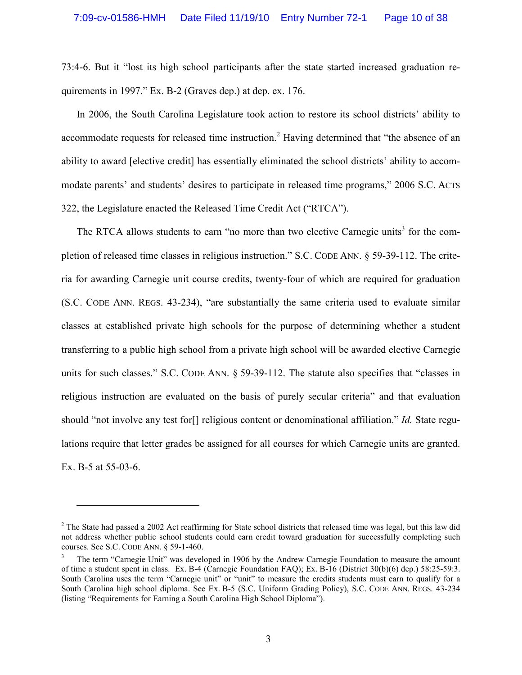73:4-6. But it "lost its high school participants after the state started increased graduation requirements in 1997." Ex. B-2 (Graves dep.) at dep. ex. 176.

In 2006, the South Carolina Legislature took action to restore its school districts' ability to accommodate requests for released time instruction.<sup>2</sup> Having determined that "the absence of an ability to award [elective credit] has essentially eliminated the school districts' ability to accommodate parents' and students' desires to participate in released time programs," 2006 S.C. ACTS 322, the Legislature enacted the Released Time Credit Act ("RTCA").

The RTCA allows students to earn "no more than two elective Carnegie units<sup>3</sup> for the completion of released time classes in religious instruction." S.C. CODE ANN. § 59-39-112. The criteria for awarding Carnegie unit course credits, twenty-four of which are required for graduation (S.C. CODE ANN. REGS. 43-234), "are substantially the same criteria used to evaluate similar classes at established private high schools for the purpose of determining whether a student transferring to a public high school from a private high school will be awarded elective Carnegie units for such classes." S.C. CODE ANN. § 59-39-112. The statute also specifies that "classes in religious instruction are evaluated on the basis of purely secular criteria" and that evaluation should "not involve any test for[] religious content or denominational affiliation." *Id.* State regulations require that letter grades be assigned for all courses for which Carnegie units are granted. Ex. B-5 at 55-03-6.

 $\overline{a}$ 

 $2^2$  The State had passed a 2002 Act reaffirming for State school districts that released time was legal, but this law did not address whether public school students could earn credit toward graduation for successfully completing such courses. See S.C. CODE ANN. § 59-1-460.

<sup>3</sup> The term "Carnegie Unit" was developed in 1906 by the Andrew Carnegie Foundation to measure the amount of time a student spent in class. Ex. B-4 (Carnegie Foundation FAQ); Ex. B-16 (District 30(b)(6) dep.) 58:25-59:3. South Carolina uses the term "Carnegie unit" or "unit" to measure the credits students must earn to qualify for a South Carolina high school diploma. See Ex. B-5 (S.C. Uniform Grading Policy), S.C. CODE ANN. REGS. 43-234 (listing "Requirements for Earning a South Carolina High School Diploma").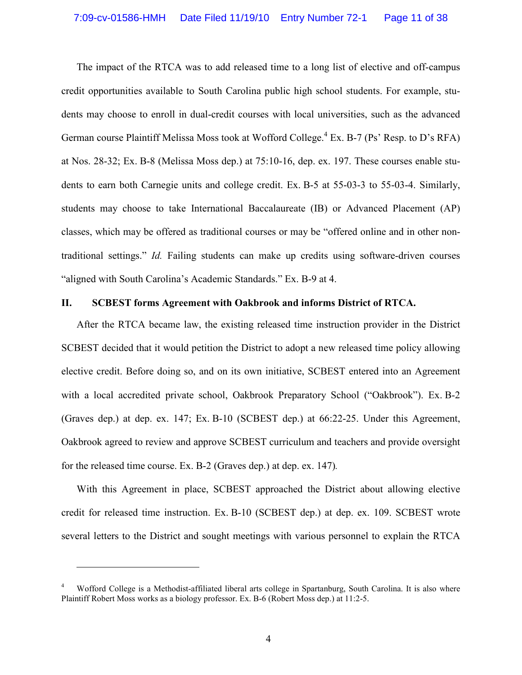The impact of the RTCA was to add released time to a long list of elective and off-campus credit opportunities available to South Carolina public high school students. For example, students may choose to enroll in dual-credit courses with local universities, such as the advanced German course Plaintiff Melissa Moss took at Wofford College.<sup>4</sup> Ex. B-7 (Ps' Resp. to D's RFA) at Nos. 28-32; Ex. B-8 (Melissa Moss dep.) at 75:10-16, dep. ex. 197. These courses enable students to earn both Carnegie units and college credit. Ex. B-5 at 55-03-3 to 55-03-4. Similarly, students may choose to take International Baccalaureate (IB) or Advanced Placement (AP) classes, which may be offered as traditional courses or may be "offered online and in other nontraditional settings." *Id.* Failing students can make up credits using software-driven courses "aligned with South Carolina's Academic Standards." Ex. B-9 at 4.

### **II. SCBEST forms Agreement with Oakbrook and informs District of RTCA.**

After the RTCA became law, the existing released time instruction provider in the District SCBEST decided that it would petition the District to adopt a new released time policy allowing elective credit. Before doing so, and on its own initiative, SCBEST entered into an Agreement with a local accredited private school, Oakbrook Preparatory School ("Oakbrook"). Ex. B-2 (Graves dep.) at dep. ex. 147; Ex. B-10 (SCBEST dep.) at 66:22-25. Under this Agreement, Oakbrook agreed to review and approve SCBEST curriculum and teachers and provide oversight for the released time course. Ex. B-2 (Graves dep.) at dep. ex. 147)*.*

With this Agreement in place, SCBEST approached the District about allowing elective credit for released time instruction. Ex. B-10 (SCBEST dep.) at dep. ex. 109. SCBEST wrote several letters to the District and sought meetings with various personnel to explain the RTCA

<sup>4</sup> Wofford College is a Methodist-affiliated liberal arts college in Spartanburg, South Carolina. It is also where Plaintiff Robert Moss works as a biology professor. Ex. B-6 (Robert Moss dep.) at 11:2-5.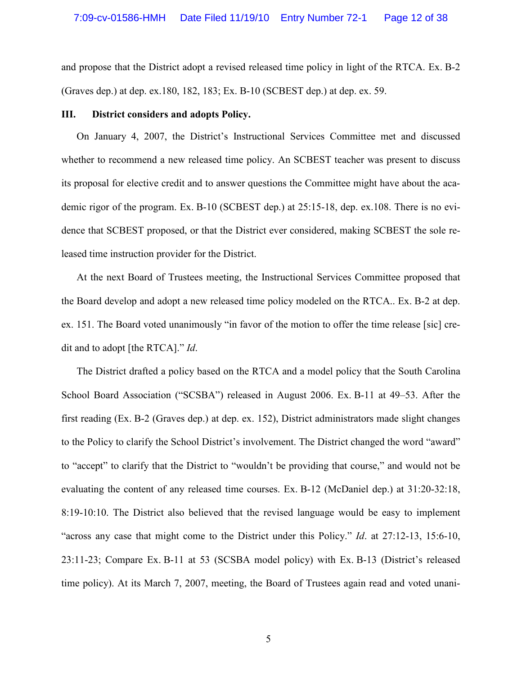and propose that the District adopt a revised released time policy in light of the RTCA. Ex. B-2 (Graves dep.) at dep. ex.180, 182, 183; Ex. B-10 (SCBEST dep.) at dep. ex. 59.

#### **III. District considers and adopts Policy.**

On January 4, 2007, the District's Instructional Services Committee met and discussed whether to recommend a new released time policy. An SCBEST teacher was present to discuss its proposal for elective credit and to answer questions the Committee might have about the academic rigor of the program. Ex. B-10 (SCBEST dep.) at 25:15-18, dep. ex.108. There is no evidence that SCBEST proposed, or that the District ever considered, making SCBEST the sole released time instruction provider for the District.

At the next Board of Trustees meeting, the Instructional Services Committee proposed that the Board develop and adopt a new released time policy modeled on the RTCA.. Ex. B-2 at dep. ex. 151. The Board voted unanimously "in favor of the motion to offer the time release [sic] credit and to adopt [the RTCA]." *Id*.

The District drafted a policy based on the RTCA and a model policy that the South Carolina School Board Association ("SCSBA") released in August 2006. Ex. B-11 at 49–53. After the first reading (Ex. B-2 (Graves dep.) at dep. ex. 152), District administrators made slight changes to the Policy to clarify the School District's involvement. The District changed the word "award" to "accept" to clarify that the District to "wouldn't be providing that course," and would not be evaluating the content of any released time courses. Ex. B-12 (McDaniel dep.) at 31:20-32:18, 8:19-10:10. The District also believed that the revised language would be easy to implement "across any case that might come to the District under this Policy." *Id*. at 27:12-13, 15:6-10, 23:11-23; Compare Ex. B-11 at 53 (SCSBA model policy) with Ex. B-13 (District's released time policy). At its March 7, 2007, meeting, the Board of Trustees again read and voted unani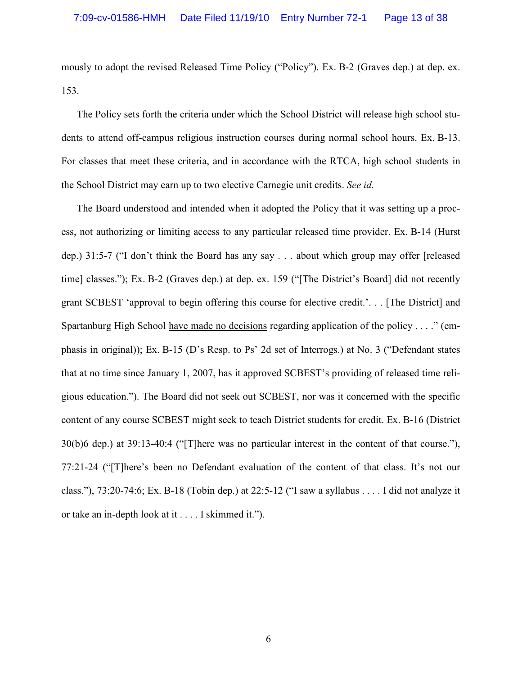mously to adopt the revised Released Time Policy ("Policy"). Ex. B-2 (Graves dep.) at dep. ex. 153.

The Policy sets forth the criteria under which the School District will release high school students to attend off-campus religious instruction courses during normal school hours. Ex. B-13. For classes that meet these criteria, and in accordance with the RTCA, high school students in the School District may earn up to two elective Carnegie unit credits. *See id.* 

The Board understood and intended when it adopted the Policy that it was setting up a process, not authorizing or limiting access to any particular released time provider. Ex. B-14 (Hurst dep.) 31:5-7 ("I don't think the Board has any say . . . about which group may offer [released time] classes."); Ex. B-2 (Graves dep.) at dep. ex. 159 ("[The District's Board] did not recently grant SCBEST 'approval to begin offering this course for elective credit.'. . . [The District] and Spartanburg High School have made no decisions regarding application of the policy . . . ." (emphasis in original)); Ex. B-15 (D's Resp. to Ps' 2d set of Interrogs.) at No. 3 ("Defendant states that at no time since January 1, 2007, has it approved SCBEST's providing of released time religious education."). The Board did not seek out SCBEST, nor was it concerned with the specific content of any course SCBEST might seek to teach District students for credit. Ex. B-16 (District 30(b)6 dep.) at 39:13-40:4 ("[T]here was no particular interest in the content of that course."), 77:21-24 ("[T]here's been no Defendant evaluation of the content of that class. It's not our class."), 73:20-74:6; Ex. B-18 (Tobin dep.) at 22:5-12 ("I saw a syllabus . . . . I did not analyze it or take an in-depth look at it . . . . I skimmed it.").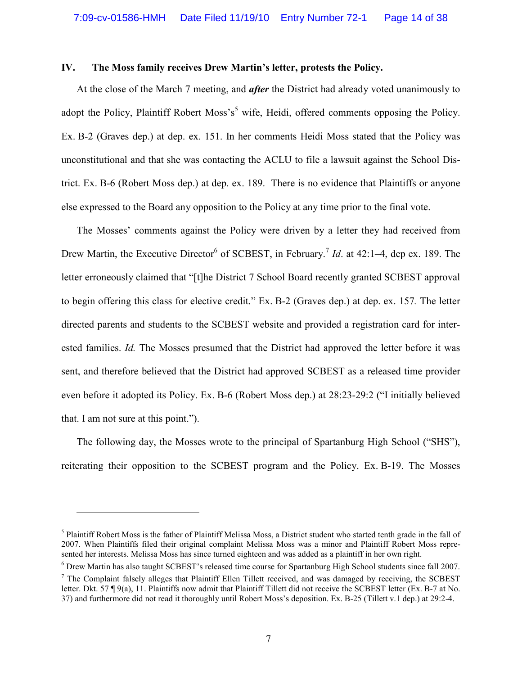### **IV. The Moss family receives Drew Martin's letter, protests the Policy.**

At the close of the March 7 meeting, and *after* the District had already voted unanimously to adopt the Policy, Plaintiff Robert Moss's<sup>5</sup> wife, Heidi, offered comments opposing the Policy. Ex. B-2 (Graves dep.) at dep. ex. 151. In her comments Heidi Moss stated that the Policy was unconstitutional and that she was contacting the ACLU to file a lawsuit against the School District. Ex. B-6 (Robert Moss dep.) at dep. ex. 189. There is no evidence that Plaintiffs or anyone else expressed to the Board any opposition to the Policy at any time prior to the final vote.

The Mosses' comments against the Policy were driven by a letter they had received from Drew Martin, the Executive Director<sup>6</sup> of SCBEST, in February.<sup>7</sup> *Id*. at 42:1–4, dep ex. 189. The letter erroneously claimed that "[t]he District 7 School Board recently granted SCBEST approval to begin offering this class for elective credit." Ex. B-2 (Graves dep.) at dep. ex. 157*.* The letter directed parents and students to the SCBEST website and provided a registration card for interested families. *Id.* The Mosses presumed that the District had approved the letter before it was sent, and therefore believed that the District had approved SCBEST as a released time provider even before it adopted its Policy. Ex. B-6 (Robert Moss dep.) at 28:23-29:2 ("I initially believed that. I am not sure at this point.").

The following day, the Mosses wrote to the principal of Spartanburg High School ("SHS"), reiterating their opposition to the SCBEST program and the Policy. Ex. B-19. The Mosses

 $\overline{a}$ 

<sup>&</sup>lt;sup>5</sup> Plaintiff Robert Moss is the father of Plaintiff Melissa Moss, a District student who started tenth grade in the fall of 2007. When Plaintiffs filed their original complaint Melissa Moss was a minor and Plaintiff Robert Moss represented her interests. Melissa Moss has since turned eighteen and was added as a plaintiff in her own right.

<sup>&</sup>lt;sup>6</sup> Drew Martin has also taught SCBEST's released time course for Spartanburg High School students since fall 2007.

 $<sup>7</sup>$  The Complaint falsely alleges that Plaintiff Ellen Tillett received, and was damaged by receiving, the SCBEST</sup> letter. Dkt. 57 ¶ 9(a), 11. Plaintiffs now admit that Plaintiff Tillett did not receive the SCBEST letter (Ex. B-7 at No. 37) and furthermore did not read it thoroughly until Robert Moss's deposition. Ex. B-25 (Tillett v.1 dep.) at 29:2-4.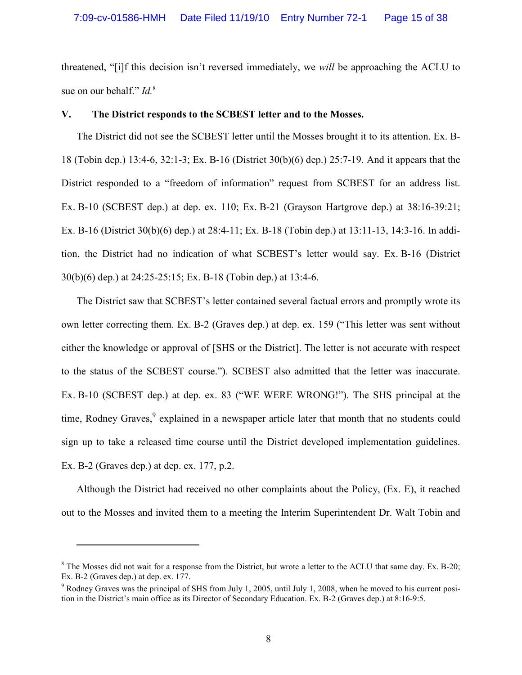threatened, "[i]f this decision isn't reversed immediately, we *will* be approaching the ACLU to sue on our behalf." *Id.*<sup>8</sup>

### **V. The District responds to the SCBEST letter and to the Mosses.**

The District did not see the SCBEST letter until the Mosses brought it to its attention. Ex. B-18 (Tobin dep.) 13:4-6, 32:1-3; Ex. B-16 (District 30(b)(6) dep.) 25:7-19. And it appears that the District responded to a "freedom of information" request from SCBEST for an address list. Ex. B-10 (SCBEST dep.) at dep. ex. 110; Ex. B-21 (Grayson Hartgrove dep.) at 38:16-39:21; Ex. B-16 (District 30(b)(6) dep.) at 28:4-11; Ex. B-18 (Tobin dep.) at 13:11-13, 14:3-16. In addition, the District had no indication of what SCBEST's letter would say. Ex. B-16 (District 30(b)(6) dep.) at 24:25-25:15; Ex. B-18 (Tobin dep.) at 13:4-6.

The District saw that SCBEST's letter contained several factual errors and promptly wrote its own letter correcting them. Ex. B-2 (Graves dep.) at dep. ex. 159 ("This letter was sent without either the knowledge or approval of [SHS or the District]. The letter is not accurate with respect to the status of the SCBEST course."). SCBEST also admitted that the letter was inaccurate. Ex. B-10 (SCBEST dep.) at dep. ex. 83 ("WE WERE WRONG!"). The SHS principal at the time, Rodney Graves,<sup>9</sup> explained in a newspaper article later that month that no students could sign up to take a released time course until the District developed implementation guidelines. Ex. B-2 (Graves dep.) at dep. ex. 177, p.2.

Although the District had received no other complaints about the Policy, (Ex. E), it reached out to the Mosses and invited them to a meeting the Interim Superintendent Dr. Walt Tobin and

 $\overline{a}$ 

 $8$  The Mosses did not wait for a response from the District, but wrote a letter to the ACLU that same day. Ex. B-20; Ex. B-2 (Graves dep.) at dep. ex. 177.

<sup>&</sup>lt;sup>9</sup> Rodney Graves was the principal of SHS from July 1, 2005, until July 1, 2008, when he moved to his current position in the District's main office as its Director of Secondary Education. Ex. B-2 (Graves dep.) at 8:16-9:5.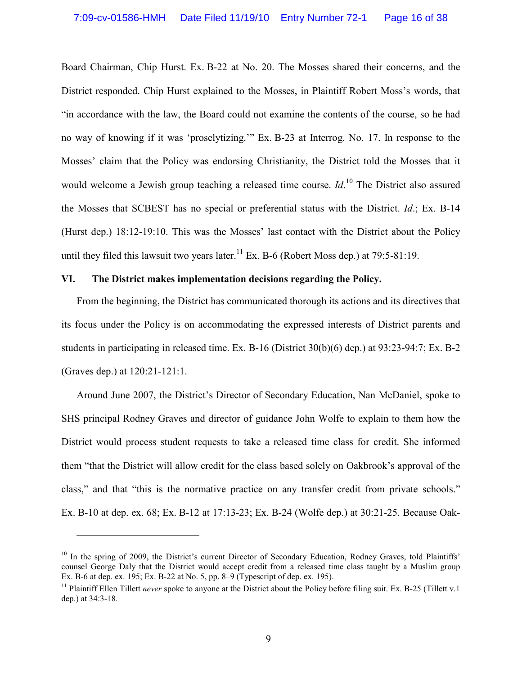Board Chairman, Chip Hurst. Ex. B-22 at No. 20. The Mosses shared their concerns, and the District responded. Chip Hurst explained to the Mosses, in Plaintiff Robert Moss's words, that "in accordance with the law, the Board could not examine the contents of the course, so he had no way of knowing if it was 'proselytizing.'" Ex. B-23 at Interrog. No. 17. In response to the Mosses' claim that the Policy was endorsing Christianity, the District told the Mosses that it would welcome a Jewish group teaching a released time course. *Id*. <sup>10</sup> The District also assured the Mosses that SCBEST has no special or preferential status with the District. *Id*.; Ex. B-14 (Hurst dep.) 18:12-19:10. This was the Mosses' last contact with the District about the Policy until they filed this lawsuit two years later.<sup>11</sup> Ex. B-6 (Robert Moss dep.) at 79:5-81:19.

## **VI. The District makes implementation decisions regarding the Policy.**

From the beginning, the District has communicated thorough its actions and its directives that its focus under the Policy is on accommodating the expressed interests of District parents and students in participating in released time. Ex. B-16 (District 30(b)(6) dep.) at 93:23-94:7; Ex. B-2 (Graves dep.) at 120:21-121:1.

Around June 2007, the District's Director of Secondary Education, Nan McDaniel, spoke to SHS principal Rodney Graves and director of guidance John Wolfe to explain to them how the District would process student requests to take a released time class for credit. She informed them "that the District will allow credit for the class based solely on Oakbrook's approval of the class," and that "this is the normative practice on any transfer credit from private schools." Ex. B-10 at dep. ex. 68; Ex. B-12 at 17:13-23; Ex. B-24 (Wolfe dep.) at 30:21-25. Because Oak-

 $10$  In the spring of 2009, the District's current Director of Secondary Education, Rodney Graves, told Plaintiffs' counsel George Daly that the District would accept credit from a released time class taught by a Muslim group Ex. B-6 at dep. ex. 195; Ex. B-22 at No. 5, pp. 8–9 (Typescript of dep. ex. 195).

<sup>&</sup>lt;sup>11</sup> Plaintiff Ellen Tillett *never* spoke to anyone at the District about the Policy before filing suit. Ex. B-25 (Tillett v.1) dep.) at 34:3-18.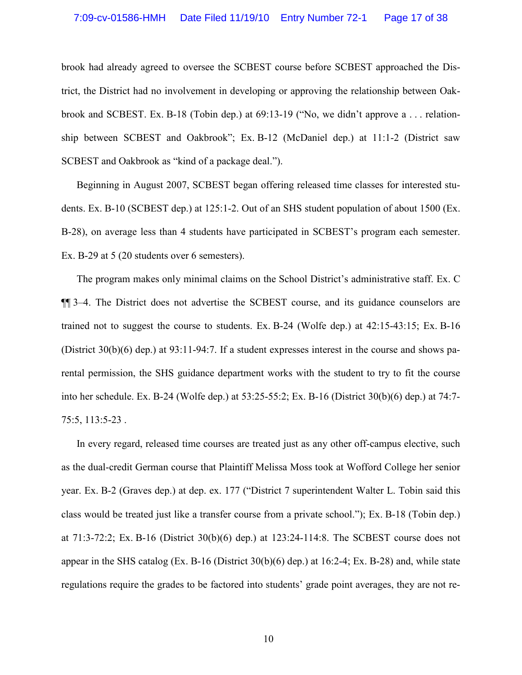brook had already agreed to oversee the SCBEST course before SCBEST approached the District, the District had no involvement in developing or approving the relationship between Oakbrook and SCBEST. Ex. B-18 (Tobin dep.) at 69:13-19 ("No, we didn't approve a . . . relationship between SCBEST and Oakbrook"; Ex. B-12 (McDaniel dep.) at 11:1-2 (District saw SCBEST and Oakbrook as "kind of a package deal.").

Beginning in August 2007, SCBEST began offering released time classes for interested students. Ex. B-10 (SCBEST dep.) at 125:1-2. Out of an SHS student population of about 1500 (Ex. B-28), on average less than 4 students have participated in SCBEST's program each semester. Ex. B-29 at 5 (20 students over 6 semesters).

The program makes only minimal claims on the School District's administrative staff. Ex. C ¶¶ 3–4. The District does not advertise the SCBEST course, and its guidance counselors are trained not to suggest the course to students. Ex. B-24 (Wolfe dep.) at 42:15-43:15; Ex. B-16 (District 30(b)(6) dep.) at 93:11-94:7. If a student expresses interest in the course and shows parental permission, the SHS guidance department works with the student to try to fit the course into her schedule. Ex. B-24 (Wolfe dep.) at 53:25-55:2; Ex. B-16 (District 30(b)(6) dep.) at 74:7- 75:5, 113:5-23 .

In every regard, released time courses are treated just as any other off-campus elective, such as the dual-credit German course that Plaintiff Melissa Moss took at Wofford College her senior year. Ex. B-2 (Graves dep.) at dep. ex. 177 ("District 7 superintendent Walter L. Tobin said this class would be treated just like a transfer course from a private school."); Ex. B-18 (Tobin dep.) at 71:3-72:2; Ex. B-16 (District 30(b)(6) dep.) at 123:24-114:8. The SCBEST course does not appear in the SHS catalog (Ex. B-16 (District 30(b)(6) dep.) at 16:2-4; Ex. B-28) and, while state regulations require the grades to be factored into students' grade point averages, they are not re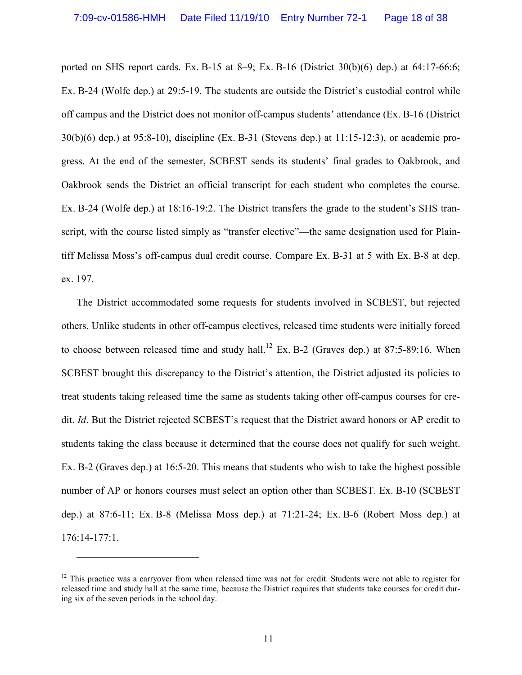ported on SHS report cards. Ex. B-15 at 8–9; Ex. B-16 (District 30(b)(6) dep.) at 64:17-66:6; Ex. B-24 (Wolfe dep.) at 29:5-19. The students are outside the District's custodial control while off campus and the District does not monitor off-campus students' attendance (Ex. B-16 (District 30(b)(6) dep.) at 95:8-10), discipline (Ex. B-31 (Stevens dep.) at 11:15-12:3), or academic progress. At the end of the semester, SCBEST sends its students' final grades to Oakbrook, and Oakbrook sends the District an official transcript for each student who completes the course. Ex. B-24 (Wolfe dep.) at 18:16-19:2. The District transfers the grade to the student's SHS transcript, with the course listed simply as "transfer elective"—the same designation used for Plaintiff Melissa Moss's off-campus dual credit course. Compare Ex. B-31 at 5 with Ex. B-8 at dep. ex. 197.

The District accommodated some requests for students involved in SCBEST, but rejected others. Unlike students in other off-campus electives, released time students were initially forced to choose between released time and study hall.<sup>12</sup> Ex. B-2 (Graves dep.) at 87:5-89:16. When SCBEST brought this discrepancy to the District's attention, the District adjusted its policies to treat students taking released time the same as students taking other off-campus courses for credit. *Id*. But the District rejected SCBEST's request that the District award honors or AP credit to students taking the class because it determined that the course does not qualify for such weight. Ex. B-2 (Graves dep.) at 16:5-20. This means that students who wish to take the highest possible number of AP or honors courses must select an option other than SCBEST. Ex. B-10 (SCBEST dep.) at 87:6-11; Ex. B-8 (Melissa Moss dep.) at 71:21-24; Ex. B-6 (Robert Moss dep.) at 176:14-177:1.

 $\overline{a}$ 

<sup>&</sup>lt;sup>12</sup> This practice was a carryover from when released time was not for credit. Students were not able to register for released time and study hall at the same time, because the District requires that students take courses for credit during six of the seven periods in the school day.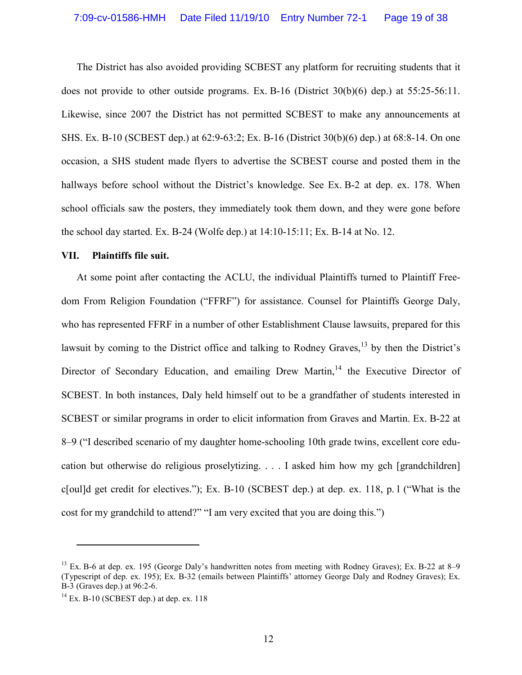The District has also avoided providing SCBEST any platform for recruiting students that it does not provide to other outside programs. Ex. B-16 (District  $30(b)(6)$  dep.) at  $55:25-56:11$ . Likewise, since 2007 the District has not permitted SCBEST to make any announcements at SHS. Ex. B-10 (SCBEST dep.) at 62:9-63:2; Ex. B-16 (District 30(b)(6) dep.) at 68:8-14. On one occasion, a SHS student made flyers to advertise the SCBEST course and posted them in the hallways before school without the District's knowledge. See Ex. B-2 at dep. ex. 178. When school officials saw the posters, they immediately took them down, and they were gone before the school day started. Ex. B-24 (Wolfe dep.) at 14:10-15:11; Ex. B-14 at No. 12.

#### **VII. Plaintiffs file suit.**

At some point after contacting the ACLU, the individual Plaintiffs turned to Plaintiff Freedom From Religion Foundation ("FFRF") for assistance. Counsel for Plaintiffs George Daly, who has represented FFRF in a number of other Establishment Clause lawsuits, prepared for this lawsuit by coming to the District office and talking to Rodney Graves,<sup>13</sup> by then the District's Director of Secondary Education, and emailing Drew Martin, $14$  the Executive Director of SCBEST. In both instances, Daly held himself out to be a grandfather of students interested in SCBEST or similar programs in order to elicit information from Graves and Martin. Ex. B-22 at 8–9 ("I described scenario of my daughter home-schooling 10th grade twins, excellent core education but otherwise do religious proselytizing. . . . I asked him how my gch [grandchildren] c[oul]d get credit for electives."); Ex. B-10 (SCBEST dep.) at dep. ex. 118, p. l ("What is the cost for my grandchild to attend?" "I am very excited that you are doing this.")

 $13$  Ex. B-6 at dep. ex. 195 (George Daly's handwritten notes from meeting with Rodney Graves); Ex. B-22 at 8–9 (Typescript of dep. ex. 195); Ex. B-32 (emails between Plaintiffs' attorney George Daly and Rodney Graves); Ex. B-3 (Graves dep.) at 96:2-6.

 $14$  Ex. B-10 (SCBEST dep.) at dep. ex. 118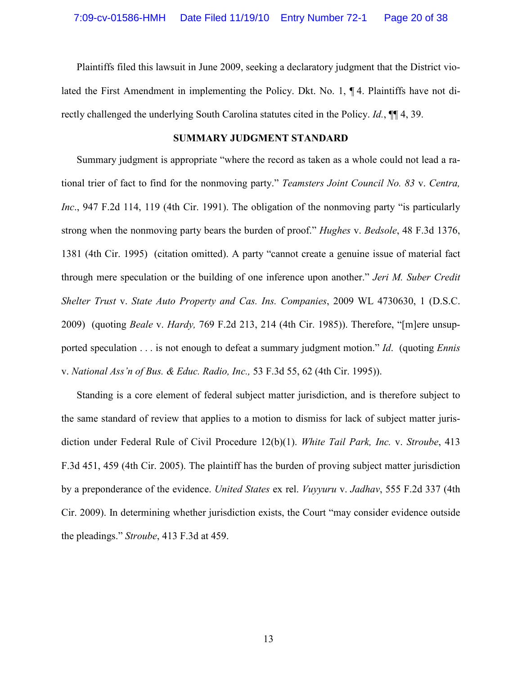Plaintiffs filed this lawsuit in June 2009, seeking a declaratory judgment that the District violated the First Amendment in implementing the Policy. Dkt. No. 1, ¶ 4. Plaintiffs have not directly challenged the underlying South Carolina statutes cited in the Policy. *Id.*, ¶¶ 4, 39.

### **SUMMARY JUDGMENT STANDARD**

Summary judgment is appropriate "where the record as taken as a whole could not lead a rational trier of fact to find for the nonmoving party." *Teamsters Joint Council No. 83* v. *Centra, Inc*., 947 F.2d 114, 119 (4th Cir. 1991). The obligation of the nonmoving party "is particularly strong when the nonmoving party bears the burden of proof." *Hughes* v. *Bedsole*, 48 F.3d 1376, 1381 (4th Cir. 1995) (citation omitted). A party "cannot create a genuine issue of material fact through mere speculation or the building of one inference upon another." *Jeri M. Suber Credit Shelter Trust* v. *State Auto Property and Cas. Ins. Companies*, 2009 WL 4730630, 1 (D.S.C. 2009) (quoting *Beale* v. *Hardy,* 769 F.2d 213, 214 (4th Cir. 1985)). Therefore, "[m]ere unsupported speculation . . . is not enough to defeat a summary judgment motion." *Id*. (quoting *Ennis*  v. *National Ass'n of Bus. & Educ. Radio, Inc.,* 53 F.3d 55, 62 (4th Cir. 1995)).

Standing is a core element of federal subject matter jurisdiction, and is therefore subject to the same standard of review that applies to a motion to dismiss for lack of subject matter jurisdiction under Federal Rule of Civil Procedure 12(b)(1). *White Tail Park, Inc.* v. *Stroube*, 413 F.3d 451, 459 (4th Cir. 2005). The plaintiff has the burden of proving subject matter jurisdiction by a preponderance of the evidence. *United States* ex rel. *Vuyyuru* v. *Jadhav*, 555 F.2d 337 (4th Cir. 2009). In determining whether jurisdiction exists, the Court "may consider evidence outside the pleadings." *Stroube*, 413 F.3d at 459.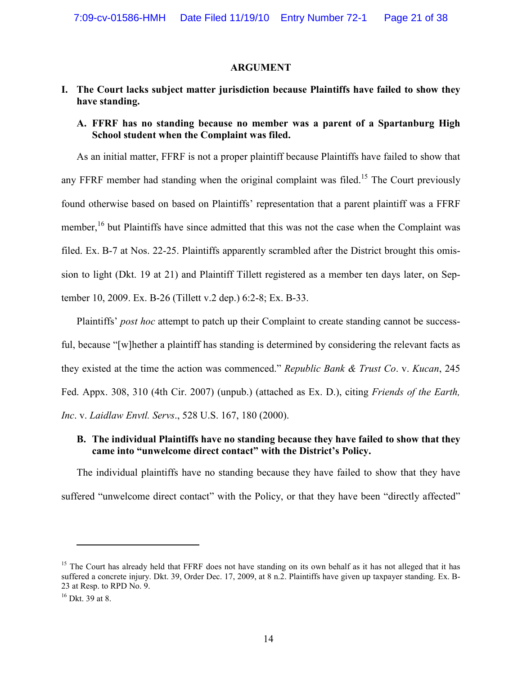#### **ARGUMENT**

# **I. The Court lacks subject matter jurisdiction because Plaintiffs have failed to show they have standing.**

## **A. FFRF has no standing because no member was a parent of a Spartanburg High School student when the Complaint was filed.**

As an initial matter, FFRF is not a proper plaintiff because Plaintiffs have failed to show that any FFRF member had standing when the original complaint was filed.<sup>15</sup> The Court previously found otherwise based on based on Plaintiffs' representation that a parent plaintiff was a FFRF member,<sup>16</sup> but Plaintiffs have since admitted that this was not the case when the Complaint was filed. Ex. B-7 at Nos. 22-25. Plaintiffs apparently scrambled after the District brought this omission to light (Dkt. 19 at 21) and Plaintiff Tillett registered as a member ten days later, on September 10, 2009. Ex. B-26 (Tillett v.2 dep.) 6:2-8; Ex. B-33.

Plaintiffs' *post hoc* attempt to patch up their Complaint to create standing cannot be successful, because "[w]hether a plaintiff has standing is determined by considering the relevant facts as they existed at the time the action was commenced." *Republic Bank & Trust Co*. v. *Kucan*, 245 Fed. Appx. 308, 310 (4th Cir. 2007) (unpub.) (attached as Ex. D.), citing *Friends of the Earth, Inc*. v. *Laidlaw Envtl. Servs*., 528 U.S. 167, 180 (2000).

## **B. The individual Plaintiffs have no standing because they have failed to show that they came into "unwelcome direct contact" with the District's Policy.**

The individual plaintiffs have no standing because they have failed to show that they have suffered "unwelcome direct contact" with the Policy, or that they have been "directly affected"

 $\overline{a}$ 

 $15$  The Court has already held that FFRF does not have standing on its own behalf as it has not alleged that it has suffered a concrete injury. Dkt. 39, Order Dec. 17, 2009, at 8 n.2. Plaintiffs have given up taxpayer standing. Ex. B-23 at Resp. to RPD No. 9.

<sup>16</sup> Dkt. 39 at 8.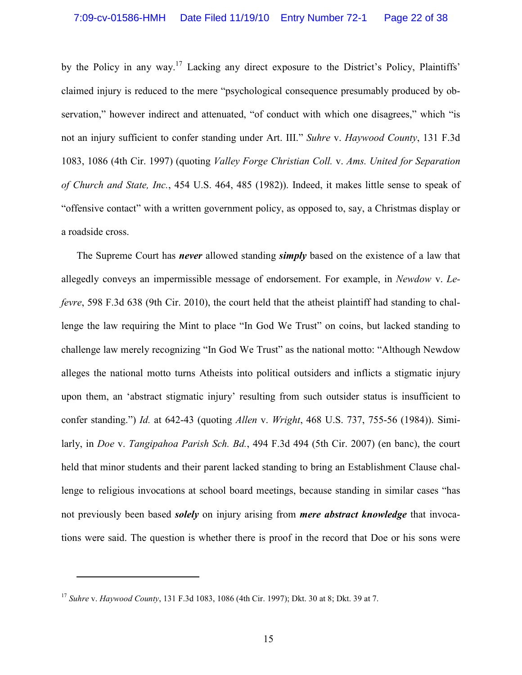by the Policy in any way.<sup>17</sup> Lacking any direct exposure to the District's Policy, Plaintiffs' claimed injury is reduced to the mere "psychological consequence presumably produced by observation," however indirect and attenuated, "of conduct with which one disagrees," which "is not an injury sufficient to confer standing under Art. III." *Suhre* v. *Haywood County*, 131 F.3d 1083, 1086 (4th Cir. 1997) (quoting *Valley Forge Christian Coll.* v. *Ams. United for Separation of Church and State, Inc.*, 454 U.S. 464, 485 (1982)). Indeed, it makes little sense to speak of "offensive contact" with a written government policy, as opposed to, say, a Christmas display or a roadside cross.

The Supreme Court has *never* allowed standing *simply* based on the existence of a law that allegedly conveys an impermissible message of endorsement. For example, in *Newdow* v. *Lefevre*, 598 F.3d 638 (9th Cir. 2010), the court held that the atheist plaintiff had standing to challenge the law requiring the Mint to place "In God We Trust" on coins, but lacked standing to challenge law merely recognizing "In God We Trust" as the national motto: "Although Newdow alleges the national motto turns Atheists into political outsiders and inflicts a stigmatic injury upon them, an 'abstract stigmatic injury' resulting from such outsider status is insufficient to confer standing.") *Id.* at 642-43 (quoting *Allen* v. *Wright*, 468 U.S. 737, 755-56 (1984)). Similarly, in *Doe* v. *Tangipahoa Parish Sch. Bd.*, 494 F.3d 494 (5th Cir. 2007) (en banc), the court held that minor students and their parent lacked standing to bring an Establishment Clause challenge to religious invocations at school board meetings, because standing in similar cases "has not previously been based *solely* on injury arising from *mere abstract knowledge* that invocations were said. The question is whether there is proof in the record that Doe or his sons were

<sup>17</sup> *Suhre* v. *Haywood County*, 131 F.3d 1083, 1086 (4th Cir. 1997); Dkt. 30 at 8; Dkt. 39 at 7.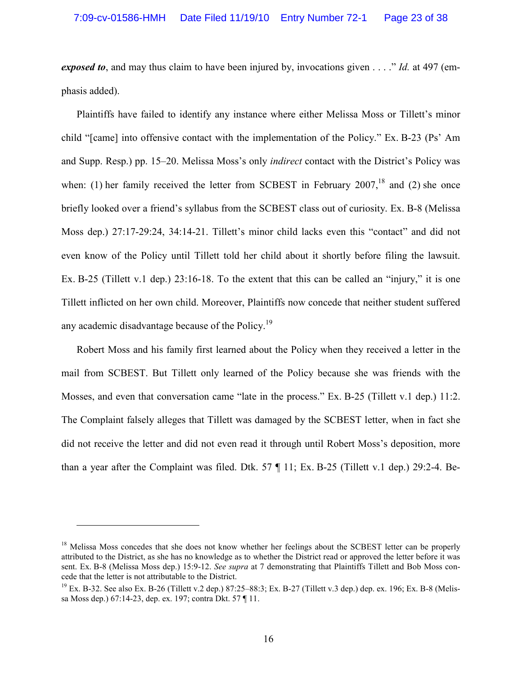*exposed to*, and may thus claim to have been injured by, invocations given . . . ." *Id.* at 497 (emphasis added).

Plaintiffs have failed to identify any instance where either Melissa Moss or Tillett's minor child "[came] into offensive contact with the implementation of the Policy." Ex. B-23 (Ps' Am and Supp. Resp.) pp. 15–20. Melissa Moss's only *indirect* contact with the District's Policy was when: (1) her family received the letter from SCBEST in February  $2007$ ,<sup>18</sup> and (2) she once briefly looked over a friend's syllabus from the SCBEST class out of curiosity. Ex. B-8 (Melissa Moss dep.) 27:17-29:24, 34:14-21. Tillett's minor child lacks even this "contact" and did not even know of the Policy until Tillett told her child about it shortly before filing the lawsuit. Ex. B-25 (Tillett v.1 dep.) 23:16-18. To the extent that this can be called an "injury," it is one Tillett inflicted on her own child. Moreover, Plaintiffs now concede that neither student suffered any academic disadvantage because of the Policy.<sup>19</sup>

Robert Moss and his family first learned about the Policy when they received a letter in the mail from SCBEST. But Tillett only learned of the Policy because she was friends with the Mosses, and even that conversation came "late in the process." Ex. B-25 (Tillett v.1 dep.) 11:2. The Complaint falsely alleges that Tillett was damaged by the SCBEST letter, when in fact she did not receive the letter and did not even read it through until Robert Moss's deposition, more than a year after the Complaint was filed. Dtk. 57 ¶ 11; Ex. B-25 (Tillett v.1 dep.) 29:2-4. Be-

<u>.</u>

<sup>&</sup>lt;sup>18</sup> Melissa Moss concedes that she does not know whether her feelings about the SCBEST letter can be properly attributed to the District, as she has no knowledge as to whether the District read or approved the letter before it was sent. Ex. B-8 (Melissa Moss dep.) 15:9-12. *See supra* at 7 demonstrating that Plaintiffs Tillett and Bob Moss concede that the letter is not attributable to the District.

<sup>&</sup>lt;sup>19</sup> Ex. B-32. See also Ex. B-26 (Tillett v.2 dep.) 87:25–88:3; Ex. B-27 (Tillett v.3 dep.) dep. ex. 196; Ex. B-8 (Melissa Moss dep.) 67:14-23, dep. ex. 197; contra Dkt. 57 ¶ 11.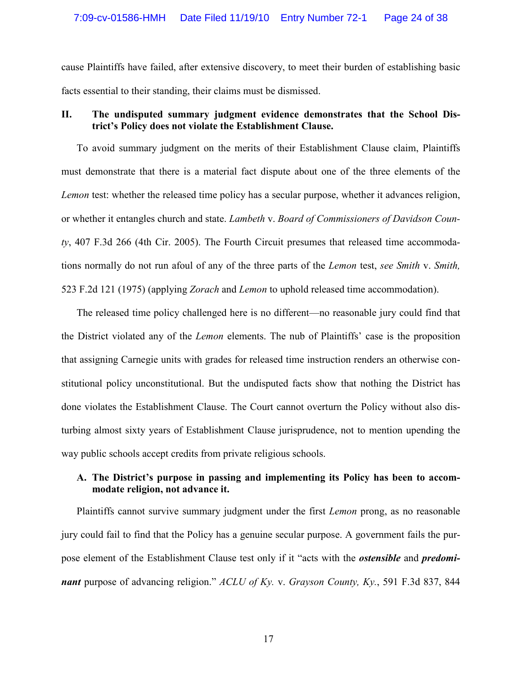cause Plaintiffs have failed, after extensive discovery, to meet their burden of establishing basic facts essential to their standing, their claims must be dismissed.

# **II. The undisputed summary judgment evidence demonstrates that the School District's Policy does not violate the Establishment Clause.**

To avoid summary judgment on the merits of their Establishment Clause claim, Plaintiffs must demonstrate that there is a material fact dispute about one of the three elements of the *Lemon* test: whether the released time policy has a secular purpose, whether it advances religion, or whether it entangles church and state. *Lambeth* v. *Board of Commissioners of Davidson County*, 407 F.3d 266 (4th Cir. 2005). The Fourth Circuit presumes that released time accommodations normally do not run afoul of any of the three parts of the *Lemon* test, *see Smith* v. *Smith,*  523 F.2d 121 (1975) (applying *Zorach* and *Lemon* to uphold released time accommodation).

The released time policy challenged here is no different—no reasonable jury could find that the District violated any of the *Lemon* elements. The nub of Plaintiffs' case is the proposition that assigning Carnegie units with grades for released time instruction renders an otherwise constitutional policy unconstitutional. But the undisputed facts show that nothing the District has done violates the Establishment Clause. The Court cannot overturn the Policy without also disturbing almost sixty years of Establishment Clause jurisprudence, not to mention upending the way public schools accept credits from private religious schools.

# **A. The District's purpose in passing and implementing its Policy has been to accommodate religion, not advance it.**

 Plaintiffs cannot survive summary judgment under the first *Lemon* prong, as no reasonable jury could fail to find that the Policy has a genuine secular purpose. A government fails the purpose element of the Establishment Clause test only if it "acts with the *ostensible* and *predominant* purpose of advancing religion." *ACLU of Ky.* v. *Grayson County, Ky.*, 591 F.3d 837, 844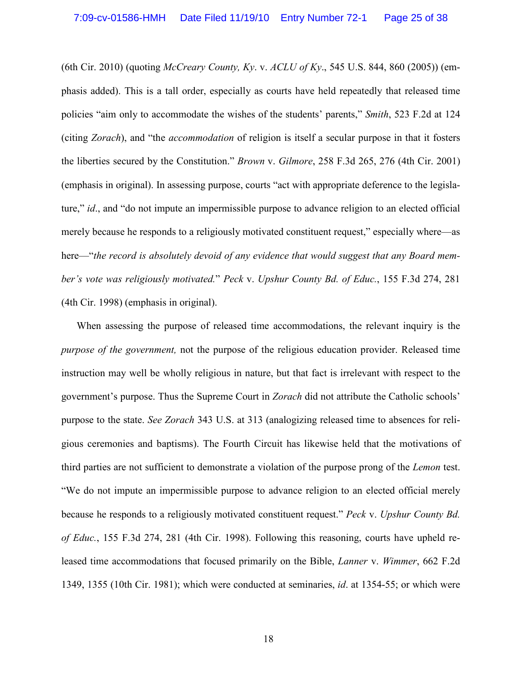(6th Cir. 2010) (quoting *McCreary County, Ky*. v. *ACLU of Ky*., 545 U.S. 844, 860 (2005)) (emphasis added). This is a tall order, especially as courts have held repeatedly that released time policies "aim only to accommodate the wishes of the students' parents," *Smith*, 523 F.2d at 124 (citing *Zorach*), and "the *accommodation* of religion is itself a secular purpose in that it fosters the liberties secured by the Constitution." *Brown* v. *Gilmore*, 258 F.3d 265, 276 (4th Cir. 2001) (emphasis in original). In assessing purpose, courts "act with appropriate deference to the legislature," *id*., and "do not impute an impermissible purpose to advance religion to an elected official merely because he responds to a religiously motivated constituent request," especially where—as here—"*the record is absolutely devoid of any evidence that would suggest that any Board member's vote was religiously motivated.*" *Peck* v. *Upshur County Bd. of Educ.*, 155 F.3d 274, 281 (4th Cir. 1998) (emphasis in original).

When assessing the purpose of released time accommodations, the relevant inquiry is the *purpose of the government,* not the purpose of the religious education provider. Released time instruction may well be wholly religious in nature, but that fact is irrelevant with respect to the government's purpose. Thus the Supreme Court in *Zorach* did not attribute the Catholic schools' purpose to the state. *See Zorach* 343 U.S. at 313 (analogizing released time to absences for religious ceremonies and baptisms). The Fourth Circuit has likewise held that the motivations of third parties are not sufficient to demonstrate a violation of the purpose prong of the *Lemon* test. "We do not impute an impermissible purpose to advance religion to an elected official merely because he responds to a religiously motivated constituent request." *Peck* v. *Upshur County Bd. of Educ.*, 155 F.3d 274, 281 (4th Cir. 1998). Following this reasoning, courts have upheld released time accommodations that focused primarily on the Bible, *Lanner* v. *Wimmer*, 662 F.2d 1349, 1355 (10th Cir. 1981); which were conducted at seminaries, *id*. at 1354-55; or which were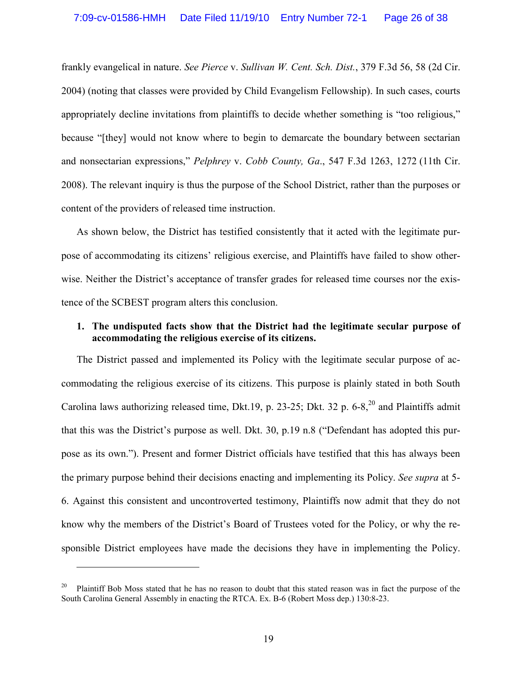frankly evangelical in nature. *See Pierce* v. *Sullivan W. Cent. Sch. Dist.*, 379 F.3d 56, 58 (2d Cir. 2004) (noting that classes were provided by Child Evangelism Fellowship). In such cases, courts appropriately decline invitations from plaintiffs to decide whether something is "too religious," because "[they] would not know where to begin to demarcate the boundary between sectarian and nonsectarian expressions," *Pelphrey* v. *Cobb County, Ga*., 547 F.3d 1263, 1272 (11th Cir. 2008). The relevant inquiry is thus the purpose of the School District, rather than the purposes or content of the providers of released time instruction.

As shown below, the District has testified consistently that it acted with the legitimate purpose of accommodating its citizens' religious exercise, and Plaintiffs have failed to show otherwise. Neither the District's acceptance of transfer grades for released time courses nor the existence of the SCBEST program alters this conclusion.

## **1. The undisputed facts show that the District had the legitimate secular purpose of accommodating the religious exercise of its citizens.**

The District passed and implemented its Policy with the legitimate secular purpose of accommodating the religious exercise of its citizens. This purpose is plainly stated in both South Carolina laws authorizing released time, Dkt.19, p. 23-25; Dkt. 32 p.  $6-8$ ,  $^{20}$  and Plaintiffs admit that this was the District's purpose as well. Dkt. 30, p.19 n.8 ("Defendant has adopted this purpose as its own."). Present and former District officials have testified that this has always been the primary purpose behind their decisions enacting and implementing its Policy. *See supra* at 5- 6. Against this consistent and uncontroverted testimony, Plaintiffs now admit that they do not know why the members of the District's Board of Trustees voted for the Policy, or why the responsible District employees have made the decisions they have in implementing the Policy.

 $\overline{a}$ 

<sup>&</sup>lt;sup>20</sup> Plaintiff Bob Moss stated that he has no reason to doubt that this stated reason was in fact the purpose of the South Carolina General Assembly in enacting the RTCA. Ex. B-6 (Robert Moss dep.) 130:8-23.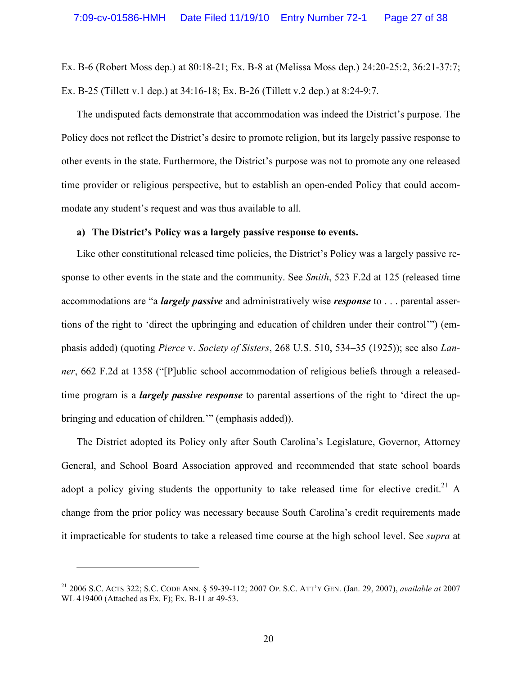Ex. B-6 (Robert Moss dep.) at 80:18-21; Ex. B-8 at (Melissa Moss dep.) 24:20-25:2, 36:21-37:7; Ex. B-25 (Tillett v.1 dep.) at 34:16-18; Ex. B-26 (Tillett v.2 dep.) at 8:24-9:7.

The undisputed facts demonstrate that accommodation was indeed the District's purpose. The Policy does not reflect the District's desire to promote religion, but its largely passive response to other events in the state. Furthermore, the District's purpose was not to promote any one released time provider or religious perspective, but to establish an open-ended Policy that could accommodate any student's request and was thus available to all.

## **a) The District's Policy was a largely passive response to events.**

Like other constitutional released time policies, the District's Policy was a largely passive response to other events in the state and the community. See *Smith*, 523 F.2d at 125 (released time accommodations are "a *largely passive* and administratively wise *response* to . . . parental assertions of the right to 'direct the upbringing and education of children under their control'") (emphasis added) (quoting *Pierce* v. *Society of Sisters*, 268 U.S. 510, 534–35 (1925)); see also *Lanner*, 662 F.2d at 1358 ("[P]ublic school accommodation of religious beliefs through a releasedtime program is a *largely passive response* to parental assertions of the right to 'direct the upbringing and education of children.'" (emphasis added)).

The District adopted its Policy only after South Carolina's Legislature, Governor, Attorney General, and School Board Association approved and recommended that state school boards adopt a policy giving students the opportunity to take released time for elective credit.<sup>21</sup> A change from the prior policy was necessary because South Carolina's credit requirements made it impracticable for students to take a released time course at the high school level. See *supra* at

<sup>21</sup> 2006 S.C. ACTS 322; S.C. CODE ANN. § 59-39-112; 2007 OP. S.C. ATT'Y GEN. (Jan. 29, 2007), *available at* 2007 WL 419400 (Attached as Ex. F); Ex. B-11 at 49-53.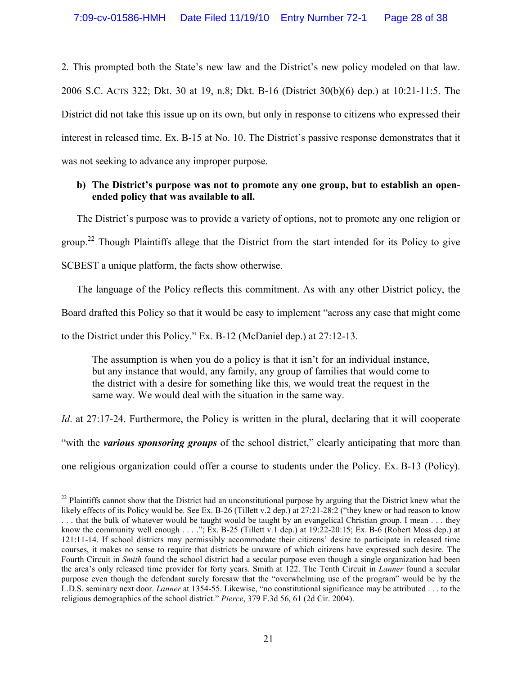2. This prompted both the State's new law and the District's new policy modeled on that law. 2006 S.C. ACTS 322; Dkt. 30 at 19, n.8; Dkt. B-16 (District 30(b)(6) dep.) at 10:21-11:5. The District did not take this issue up on its own, but only in response to citizens who expressed their interest in released time. Ex. B-15 at No. 10. The District's passive response demonstrates that it was not seeking to advance any improper purpose.

## **b) The District's purpose was not to promote any one group, but to establish an openended policy that was available to all.**

The District's purpose was to provide a variety of options, not to promote any one religion or

group.<sup>22</sup> Though Plaintiffs allege that the District from the start intended for its Policy to give

SCBEST a unique platform, the facts show otherwise.

-

The language of the Policy reflects this commitment. As with any other District policy, the

Board drafted this Policy so that it would be easy to implement "across any case that might come

to the District under this Policy." Ex. B-12 (McDaniel dep.) at 27:12-13.

The assumption is when you do a policy is that it isn't for an individual instance, but any instance that would, any family, any group of families that would come to the district with a desire for something like this, we would treat the request in the same way. We would deal with the situation in the same way.

*Id.* at 27:17-24. Furthermore, the Policy is written in the plural, declaring that it will cooperate "with the *various sponsoring groups* of the school district," clearly anticipating that more than one religious organization could offer a course to students under the Policy. Ex. B-13 (Policy).

 $^{22}$  Plaintiffs cannot show that the District had an unconstitutional purpose by arguing that the District knew what the likely effects of its Policy would be. See Ex. B-26 (Tillett v.2 dep.) at 27:21-28:2 ("they knew or had reason to know . . . that the bulk of whatever would be taught would be taught by an evangelical Christian group. I mean . . . they know the community well enough . . . ."; Ex. B-25 (Tillett v.1 dep.) at 19:22-20:15; Ex. B-6 (Robert Moss dep.) at 121:11-14. If school districts may permissibly accommodate their citizens' desire to participate in released time courses, it makes no sense to require that districts be unaware of which citizens have expressed such desire. The Fourth Circuit in *Smith* found the school district had a secular purpose even though a single organization had been the area's only released time provider for forty years. Smith at 122. The Tenth Circuit in *Lanner* found a secular purpose even though the defendant surely foresaw that the "overwhelming use of the program" would be by the L.D.S. seminary next door. *Lanner* at 1354-55. Likewise, "no constitutional significance may be attributed . . . to the religious demographics of the school district." *Pierce*, 379 F.3d 56, 61 (2d Cir. 2004).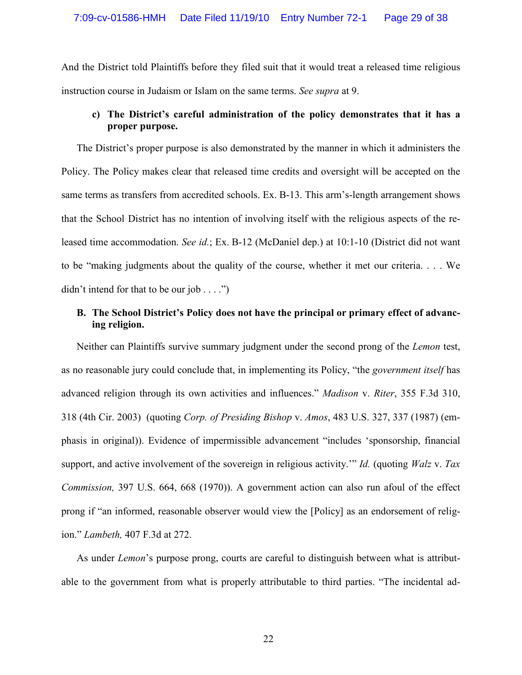And the District told Plaintiffs before they filed suit that it would treat a released time religious instruction course in Judaism or Islam on the same terms. *See supra* at 9.

# **c) The District's careful administration of the policy demonstrates that it has a proper purpose.**

The District's proper purpose is also demonstrated by the manner in which it administers the Policy. The Policy makes clear that released time credits and oversight will be accepted on the same terms as transfers from accredited schools. Ex. B-13. This arm's-length arrangement shows that the School District has no intention of involving itself with the religious aspects of the released time accommodation. *See id.*; Ex. B-12 (McDaniel dep.) at 10:1-10 (District did not want to be "making judgments about the quality of the course, whether it met our criteria. . . . We didn't intend for that to be our job  $\dots$ .")

# **B. The School District's Policy does not have the principal or primary effect of advancing religion.**

Neither can Plaintiffs survive summary judgment under the second prong of the *Lemon* test, as no reasonable jury could conclude that, in implementing its Policy, "the *government itself* has advanced religion through its own activities and influences." *Madison* v. *Riter*, 355 F.3d 310, 318 (4th Cir. 2003) (quoting *Corp. of Presiding Bishop* v. *Amos*, 483 U.S. 327, 337 (1987) (emphasis in original)). Evidence of impermissible advancement "includes 'sponsorship, financial support, and active involvement of the sovereign in religious activity.'" *Id.* (quoting *Walz* v. *Tax Commission,* 397 U.S. 664, 668 (1970)). A government action can also run afoul of the effect prong if "an informed, reasonable observer would view the [Policy] as an endorsement of religion." *Lambeth,* 407 F.3d at 272.

As under *Lemon*'s purpose prong, courts are careful to distinguish between what is attributable to the government from what is properly attributable to third parties. "The incidental ad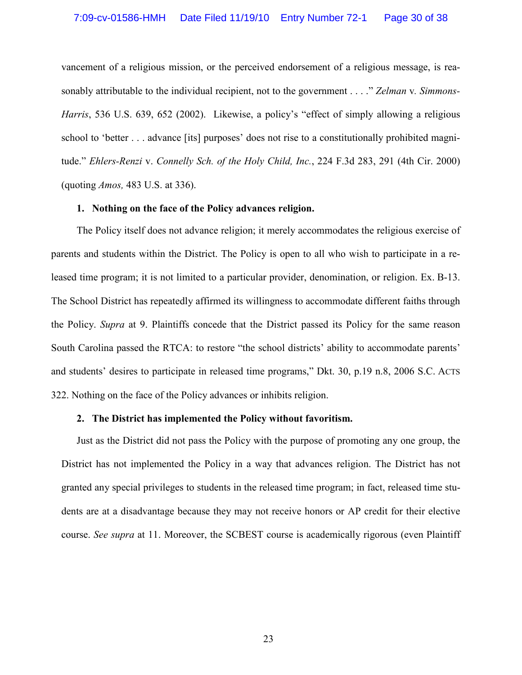vancement of a religious mission, or the perceived endorsement of a religious message, is reasonably attributable to the individual recipient, not to the government . . . ." *Zelman* v*. Simmons-Harris*, 536 U.S. 639, 652 (2002). Likewise, a policy's "effect of simply allowing a religious school to 'better . . . advance [its] purposes' does not rise to a constitutionally prohibited magnitude." *Ehlers-Renzi* v. *Connelly Sch. of the Holy Child, Inc.*, 224 F.3d 283, 291 (4th Cir. 2000) (quoting *Amos,* 483 U.S. at 336).

#### **1. Nothing on the face of the Policy advances religion.**

The Policy itself does not advance religion; it merely accommodates the religious exercise of parents and students within the District. The Policy is open to all who wish to participate in a released time program; it is not limited to a particular provider, denomination, or religion. Ex. B-13. The School District has repeatedly affirmed its willingness to accommodate different faiths through the Policy. *Supra* at 9. Plaintiffs concede that the District passed its Policy for the same reason South Carolina passed the RTCA: to restore "the school districts' ability to accommodate parents' and students' desires to participate in released time programs," Dkt. 30, p.19 n.8, 2006 S.C. ACTS 322. Nothing on the face of the Policy advances or inhibits religion.

#### **2. The District has implemented the Policy without favoritism.**

Just as the District did not pass the Policy with the purpose of promoting any one group, the District has not implemented the Policy in a way that advances religion. The District has not granted any special privileges to students in the released time program; in fact, released time students are at a disadvantage because they may not receive honors or AP credit for their elective course. *See supra* at 11. Moreover, the SCBEST course is academically rigorous (even Plaintiff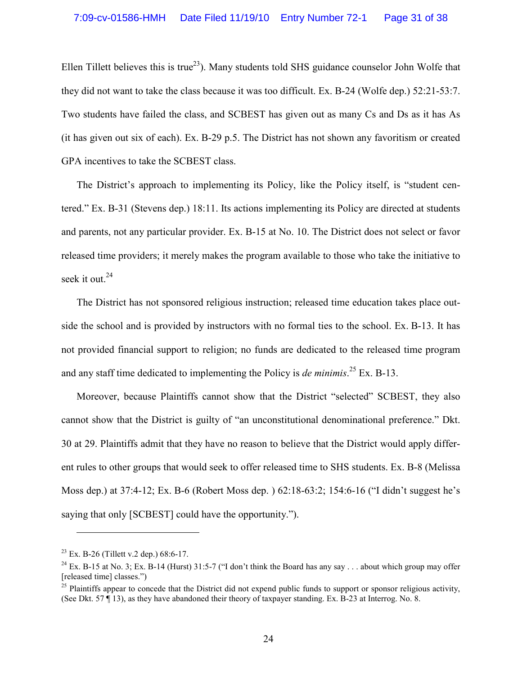Ellen Tillett believes this is true<sup>23</sup>). Many students told SHS guidance counselor John Wolfe that they did not want to take the class because it was too difficult. Ex. B-24 (Wolfe dep.) 52:21-53:7. Two students have failed the class, and SCBEST has given out as many Cs and Ds as it has As (it has given out six of each). Ex. B-29 p.5. The District has not shown any favoritism or created GPA incentives to take the SCBEST class.

The District's approach to implementing its Policy, like the Policy itself, is "student centered." Ex. B-31 (Stevens dep.) 18:11. Its actions implementing its Policy are directed at students and parents, not any particular provider. Ex. B-15 at No. 10. The District does not select or favor released time providers; it merely makes the program available to those who take the initiative to seek it out.<sup>24</sup>

The District has not sponsored religious instruction; released time education takes place outside the school and is provided by instructors with no formal ties to the school. Ex. B-13. It has not provided financial support to religion; no funds are dedicated to the released time program and any staff time dedicated to implementing the Policy is *de minimis*. <sup>25</sup> Ex. B-13.

Moreover, because Plaintiffs cannot show that the District "selected" SCBEST, they also cannot show that the District is guilty of "an unconstitutional denominational preference." Dkt. 30 at 29. Plaintiffs admit that they have no reason to believe that the District would apply different rules to other groups that would seek to offer released time to SHS students. Ex. B-8 (Melissa Moss dep.) at 37:4-12; Ex. B-6 (Robert Moss dep. ) 62:18-63:2; 154:6-16 ("I didn't suggest he's saying that only [SCBEST] could have the opportunity.").

 $23$  Ex. B-26 (Tillett v.2 dep.) 68:6-17.

<sup>&</sup>lt;sup>24</sup> Ex. B-15 at No. 3; Ex. B-14 (Hurst) 31:5-7 ("I don't think the Board has any say . . . about which group may offer [released time] classes.")

 $^{25}$  Plaintiffs appear to concede that the District did not expend public funds to support or sponsor religious activity, (See Dkt. 57 ¶ 13), as they have abandoned their theory of taxpayer standing. Ex. B-23 at Interrog. No. 8.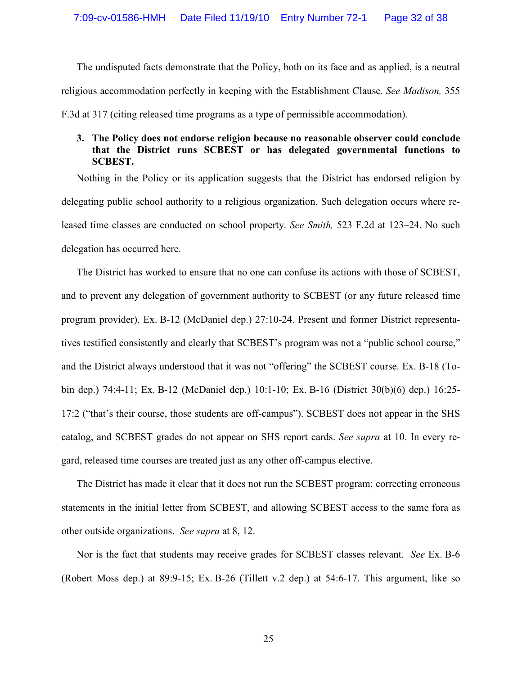The undisputed facts demonstrate that the Policy, both on its face and as applied, is a neutral religious accommodation perfectly in keeping with the Establishment Clause. *See Madison,* 355 F.3d at 317 (citing released time programs as a type of permissible accommodation).

## **3. The Policy does not endorse religion because no reasonable observer could conclude that the District runs SCBEST or has delegated governmental functions to SCBEST.**

Nothing in the Policy or its application suggests that the District has endorsed religion by delegating public school authority to a religious organization. Such delegation occurs where released time classes are conducted on school property. *See Smith,* 523 F.2d at 123–24. No such delegation has occurred here.

The District has worked to ensure that no one can confuse its actions with those of SCBEST, and to prevent any delegation of government authority to SCBEST (or any future released time program provider). Ex. B-12 (McDaniel dep.) 27:10-24. Present and former District representatives testified consistently and clearly that SCBEST's program was not a "public school course," and the District always understood that it was not "offering" the SCBEST course. Ex. B-18 (Tobin dep.) 74:4-11; Ex. B-12 (McDaniel dep.) 10:1-10; Ex. B-16 (District 30(b)(6) dep.) 16:25- 17:2 ("that's their course, those students are off-campus"). SCBEST does not appear in the SHS catalog, and SCBEST grades do not appear on SHS report cards. *See supra* at 10. In every regard, released time courses are treated just as any other off-campus elective.

The District has made it clear that it does not run the SCBEST program; correcting erroneous statements in the initial letter from SCBEST, and allowing SCBEST access to the same fora as other outside organizations. *See supra* at 8, 12.

Nor is the fact that students may receive grades for SCBEST classes relevant. *See* Ex. B-6 (Robert Moss dep.) at 89:9-15; Ex. B-26 (Tillett v.2 dep.) at 54:6-17. This argument, like so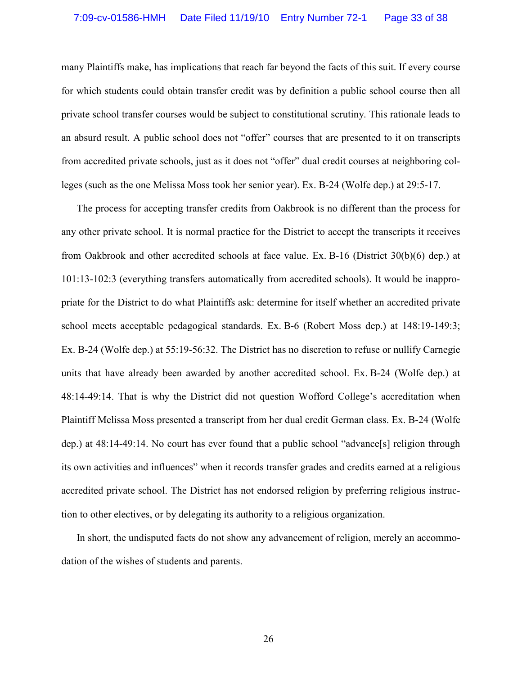many Plaintiffs make, has implications that reach far beyond the facts of this suit. If every course for which students could obtain transfer credit was by definition a public school course then all private school transfer courses would be subject to constitutional scrutiny. This rationale leads to an absurd result. A public school does not "offer" courses that are presented to it on transcripts from accredited private schools, just as it does not "offer" dual credit courses at neighboring colleges (such as the one Melissa Moss took her senior year). Ex. B-24 (Wolfe dep.) at 29:5-17.

The process for accepting transfer credits from Oakbrook is no different than the process for any other private school. It is normal practice for the District to accept the transcripts it receives from Oakbrook and other accredited schools at face value. Ex. B-16 (District 30(b)(6) dep.) at 101:13-102:3 (everything transfers automatically from accredited schools). It would be inappropriate for the District to do what Plaintiffs ask: determine for itself whether an accredited private school meets acceptable pedagogical standards. Ex. B-6 (Robert Moss dep.) at 148:19-149:3; Ex. B-24 (Wolfe dep.) at 55:19-56:32. The District has no discretion to refuse or nullify Carnegie units that have already been awarded by another accredited school. Ex. B-24 (Wolfe dep.) at 48:14-49:14. That is why the District did not question Wofford College's accreditation when Plaintiff Melissa Moss presented a transcript from her dual credit German class. Ex. B-24 (Wolfe dep.) at 48:14-49:14. No court has ever found that a public school "advance[s] religion through its own activities and influences" when it records transfer grades and credits earned at a religious accredited private school. The District has not endorsed religion by preferring religious instruction to other electives, or by delegating its authority to a religious organization.

In short, the undisputed facts do not show any advancement of religion, merely an accommodation of the wishes of students and parents.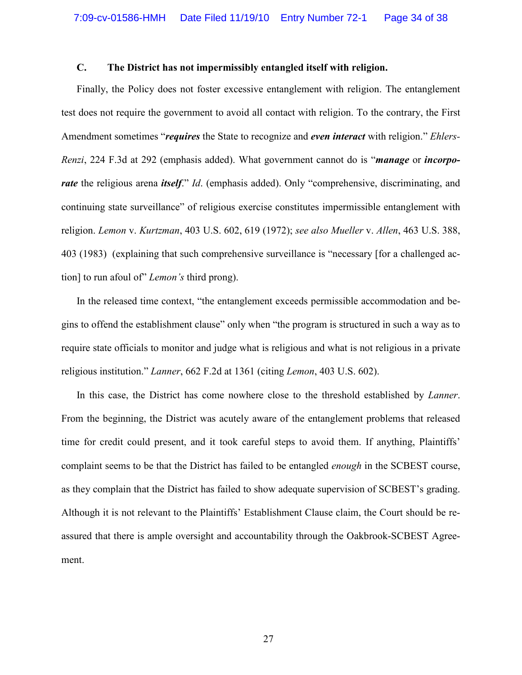## **C. The District has not impermissibly entangled itself with religion.**

Finally, the Policy does not foster excessive entanglement with religion. The entanglement test does not require the government to avoid all contact with religion. To the contrary, the First Amendment sometimes "*requires* the State to recognize and *even interact* with religion." *Ehlers-Renzi*, 224 F.3d at 292 (emphasis added). What government cannot do is "*manage* or *incorporate* the religious arena *itself.*" *Id.* (emphasis added). Only "comprehensive, discriminating, and continuing state surveillance" of religious exercise constitutes impermissible entanglement with religion. *Lemon* v. *Kurtzman*, 403 U.S. 602, 619 (1972); *see also Mueller* v. *Allen*, 463 U.S. 388, 403 (1983) (explaining that such comprehensive surveillance is "necessary [for a challenged action] to run afoul of" *Lemon's* third prong).

In the released time context, "the entanglement exceeds permissible accommodation and begins to offend the establishment clause" only when "the program is structured in such a way as to require state officials to monitor and judge what is religious and what is not religious in a private religious institution." *Lanner*, 662 F.2d at 1361 (citing *Lemon*, 403 U.S. 602).

In this case, the District has come nowhere close to the threshold established by *Lanner*. From the beginning, the District was acutely aware of the entanglement problems that released time for credit could present, and it took careful steps to avoid them. If anything, Plaintiffs' complaint seems to be that the District has failed to be entangled *enough* in the SCBEST course, as they complain that the District has failed to show adequate supervision of SCBEST's grading. Although it is not relevant to the Plaintiffs' Establishment Clause claim, the Court should be reassured that there is ample oversight and accountability through the Oakbrook-SCBEST Agreement.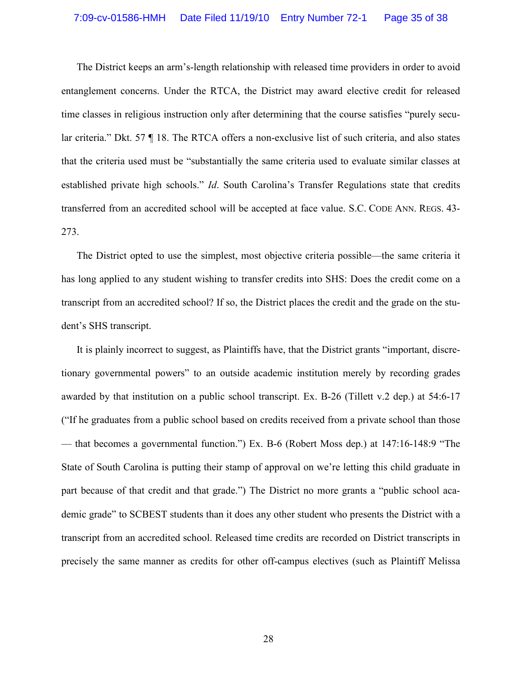The District keeps an arm's-length relationship with released time providers in order to avoid entanglement concerns. Under the RTCA, the District may award elective credit for released time classes in religious instruction only after determining that the course satisfies "purely secular criteria." Dkt. 57 ¶ 18. The RTCA offers a non-exclusive list of such criteria, and also states that the criteria used must be "substantially the same criteria used to evaluate similar classes at established private high schools." *Id*. South Carolina's Transfer Regulations state that credits transferred from an accredited school will be accepted at face value. S.C. CODE ANN. REGS. 43- 273.

The District opted to use the simplest, most objective criteria possible—the same criteria it has long applied to any student wishing to transfer credits into SHS: Does the credit come on a transcript from an accredited school? If so, the District places the credit and the grade on the student's SHS transcript.

It is plainly incorrect to suggest, as Plaintiffs have, that the District grants "important, discretionary governmental powers" to an outside academic institution merely by recording grades awarded by that institution on a public school transcript. Ex. B-26 (Tillett v.2 dep.) at 54:6-17 ("If he graduates from a public school based on credits received from a private school than those — that becomes a governmental function.") Ex. B-6 (Robert Moss dep.) at 147:16-148:9 "The State of South Carolina is putting their stamp of approval on we're letting this child graduate in part because of that credit and that grade.") The District no more grants a "public school academic grade" to SCBEST students than it does any other student who presents the District with a transcript from an accredited school. Released time credits are recorded on District transcripts in precisely the same manner as credits for other off-campus electives (such as Plaintiff Melissa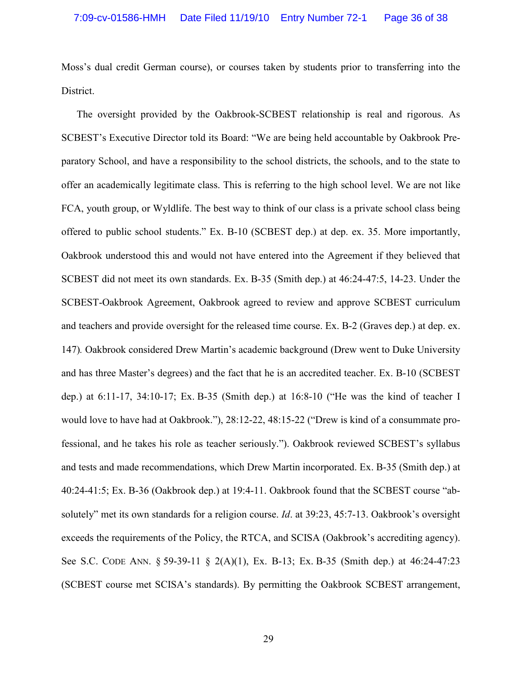Moss's dual credit German course), or courses taken by students prior to transferring into the District.

The oversight provided by the Oakbrook-SCBEST relationship is real and rigorous. As SCBEST's Executive Director told its Board: "We are being held accountable by Oakbrook Preparatory School, and have a responsibility to the school districts, the schools, and to the state to offer an academically legitimate class. This is referring to the high school level. We are not like FCA, youth group, or Wyldlife. The best way to think of our class is a private school class being offered to public school students." Ex. B-10 (SCBEST dep.) at dep. ex. 35. More importantly, Oakbrook understood this and would not have entered into the Agreement if they believed that SCBEST did not meet its own standards. Ex. B-35 (Smith dep.) at 46:24-47:5, 14-23. Under the SCBEST-Oakbrook Agreement, Oakbrook agreed to review and approve SCBEST curriculum and teachers and provide oversight for the released time course. Ex. B-2 (Graves dep.) at dep. ex. 147)*.* Oakbrook considered Drew Martin's academic background (Drew went to Duke University and has three Master's degrees) and the fact that he is an accredited teacher. Ex. B-10 (SCBEST dep.) at 6:11-17, 34:10-17; Ex. B-35 (Smith dep.) at 16:8-10 ("He was the kind of teacher I would love to have had at Oakbrook."), 28:12-22, 48:15-22 ("Drew is kind of a consummate professional, and he takes his role as teacher seriously."). Oakbrook reviewed SCBEST's syllabus and tests and made recommendations, which Drew Martin incorporated. Ex. B-35 (Smith dep.) at 40:24-41:5; Ex. B-36 (Oakbrook dep.) at 19:4-11. Oakbrook found that the SCBEST course "absolutely" met its own standards for a religion course. *Id*. at 39:23, 45:7-13. Oakbrook's oversight exceeds the requirements of the Policy, the RTCA, and SCISA (Oakbrook's accrediting agency). See S.C. CODE ANN. § 59-39-11 § 2(A)(1), Ex. B-13; Ex. B-35 (Smith dep.) at 46:24-47:23 (SCBEST course met SCISA's standards). By permitting the Oakbrook SCBEST arrangement,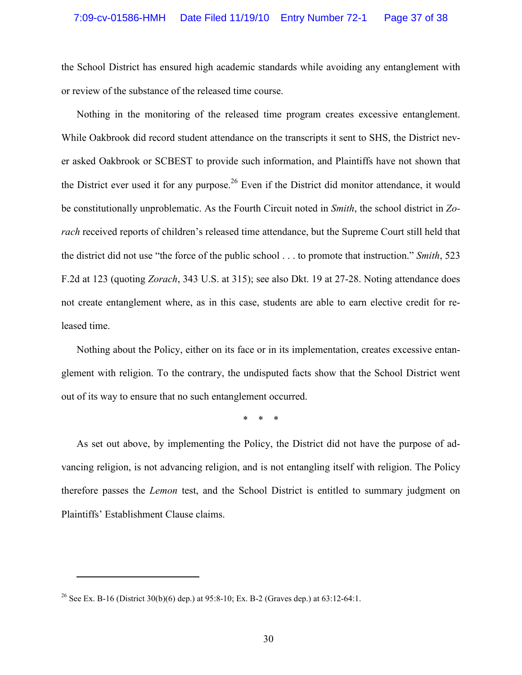the School District has ensured high academic standards while avoiding any entanglement with or review of the substance of the released time course.

Nothing in the monitoring of the released time program creates excessive entanglement. While Oakbrook did record student attendance on the transcripts it sent to SHS, the District never asked Oakbrook or SCBEST to provide such information, and Plaintiffs have not shown that the District ever used it for any purpose.<sup>26</sup> Even if the District did monitor attendance, it would be constitutionally unproblematic. As the Fourth Circuit noted in *Smith*, the school district in *Zorach* received reports of children's released time attendance, but the Supreme Court still held that the district did not use "the force of the public school . . . to promote that instruction." *Smith*, 523 F.2d at 123 (quoting *Zorach*, 343 U.S. at 315); see also Dkt. 19 at 27-28. Noting attendance does not create entanglement where, as in this case, students are able to earn elective credit for released time.

Nothing about the Policy, either on its face or in its implementation, creates excessive entanglement with religion. To the contrary, the undisputed facts show that the School District went out of its way to ensure that no such entanglement occurred.

\* \* \*

As set out above, by implementing the Policy, the District did not have the purpose of advancing religion, is not advancing religion, and is not entangling itself with religion. The Policy therefore passes the *Lemon* test, and the School District is entitled to summary judgment on Plaintiffs' Establishment Clause claims.

<sup>&</sup>lt;sup>26</sup> See Ex. B-16 (District 30(b)(6) dep.) at 95:8-10; Ex. B-2 (Graves dep.) at 63:12-64:1.